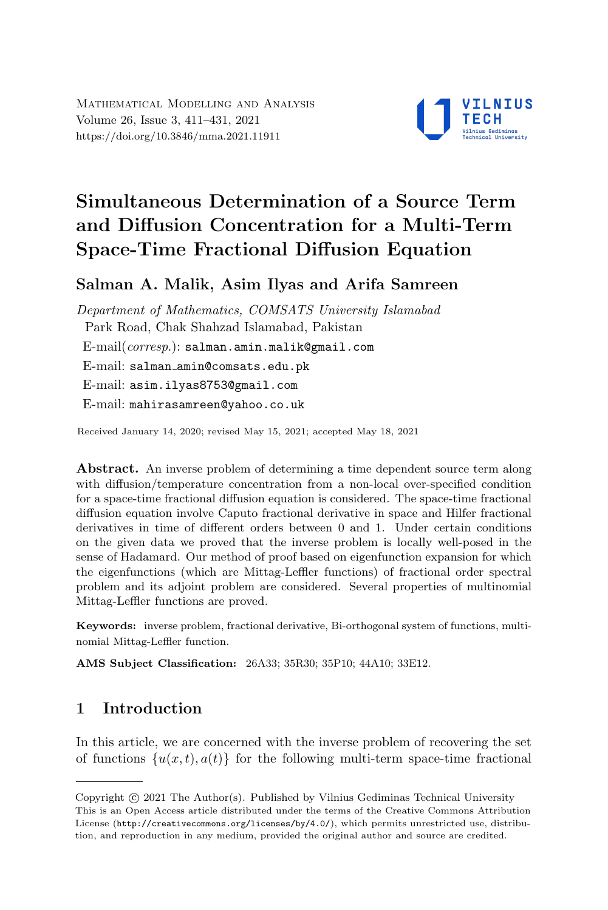

# Simultaneous Determination of a Source Term and Diffusion Concentration for a Multi-Term Space-Time Fractional Diffusion Equation

# Salman A. Malik, Asim Ilyas and Arifa Samreen

Department of Mathematics, COMSATS University Islamabad Park Road, Chak Shahzad Islamabad, Pakistan E-mail(corresp.): [salman.amin.malik@gmail.com](mailto:{salman.amin.malik@gmail.com}) E-mail: salman [amin@comsats.edu.pk](mailto:salman_amin@comsats.edu.pk) E-mail: [asim.ilyas8753@gmail.com](mailto:asim.ilyas8753@gmail.com) E-mail: [mahirasamreen@yahoo.co.uk](mailto:mahirasamreen@yahoo.co.uk)

Received January 14, 2020; revised May 15, 2021; accepted May 18, 2021

Abstract. An inverse problem of determining a time dependent source term along with diffusion/temperature concentration from a non-local over-specified condition for a space-time fractional diffusion equation is considered. The space-time fractional diffusion equation involve Caputo fractional derivative in space and Hilfer fractional derivatives in time of different orders between 0 and 1. Under certain conditions on the given data we proved that the inverse problem is locally well-posed in the sense of Hadamard. Our method of proof based on eigenfunction expansion for which the eigenfunctions (which are Mittag-Leffler functions) of fractional order spectral problem and its adjoint problem are considered. Several properties of multinomial Mittag-Leffler functions are proved.

Keywords: inverse problem, fractional derivative, Bi-orthogonal system of functions, multinomial Mittag-Leffler function.

AMS Subject Classification: 26A33; 35R30; 35P10; 44A10; 33E12.

# 1 Introduction

In this article, we are concerned with the inverse problem of recovering the set of functions  $\{u(x,t), a(t)\}\$  for the following multi-term space-time fractional

Copyright (C) 2021 The Author(s). Published by Vilnius Gediminas Technical University<br>This is an Open Access article distributed under the terms of the Creative Commons Attribution Copyright  $\odot$  2021 The Author(s). Published by Vilnius Gediminas Technical University License (<http://creativecommons.org/licenses/by/4.0/>), which permits unrestricted use, distribution, and reproduction in any medium, provided the original author and source are credited.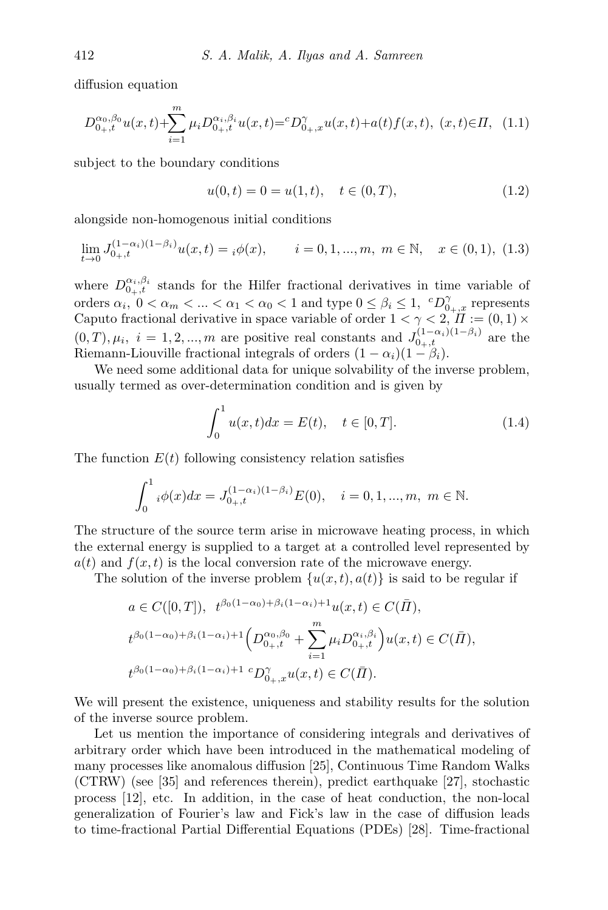diffusion equation

<span id="page-1-1"></span>
$$
D_{0_+,t}^{\alpha_0,\beta_0}u(x,t) + \sum_{i=1}^m \mu_i D_{0_+,t}^{\alpha_i,\beta_i}u(x,t) = {}^c D_{0_+,x}^{\gamma}u(x,t) + a(t)f(x,t), \ (x,t) \in \Pi, \ (1.1)
$$

subject to the boundary conditions

<span id="page-1-2"></span><span id="page-1-0"></span>
$$
u(0,t) = 0 = u(1,t), \quad t \in (0,T), \tag{1.2}
$$

alongside non-homogenous initial conditions

$$
\lim_{t \to 0} J_{0+,t}^{(1-\alpha_i)(1-\beta_i)} u(x,t) = i\phi(x), \qquad i = 0, 1, ..., m, \ m \in \mathbb{N}, \quad x \in (0,1), \ (1.3)
$$

where  $D_{0_+,t}^{\alpha_i,\beta_i}$  stands for the Hilfer fractional derivatives in time variable of orders  $\alpha_i$ ,  $0 < \alpha_m < ... < \alpha_1 < \alpha_0 < 1$  and type  $0 \le \beta_i \le 1$ ,  ${}^cD_{0+,x}^{\gamma}$  represents Caputo fractional derivative in space variable of order  $1 < \gamma < 2$ ,  $\overline{II} := (0, 1) \times$  $(0,T), \mu_i, i = 1, 2, ..., m$  are positive real constants and  $J_{0+,t}^{(1-\alpha_i)(1-\beta_i)}$  are the Riemann-Liouville fractional integrals of orders  $(1 - \alpha_i)(1 - \beta_i)$ .

We need some additional data for unique solvability of the inverse problem, usually termed as over-determination condition and is given by

<span id="page-1-3"></span>
$$
\int_0^1 u(x,t)dx = E(t), \quad t \in [0,T].
$$
\n(1.4)

The function  $E(t)$  following consistency relation satisfies

$$
\int_0^1 i\phi(x)dx = J_{0_+,t}^{(1-\alpha_i)(1-\beta_i)}E(0), \quad i = 0, 1, ..., m, \ m \in \mathbb{N}.
$$

The structure of the source term arise in microwave heating process, in which the external energy is supplied to a target at a controlled level represented by  $a(t)$  and  $f(x, t)$  is the local conversion rate of the microwave energy.

The solution of the inverse problem  $\{u(x, t), a(t)\}\$ is said to be regular if

$$
a \in C([0, T]), \quad t^{\beta_0(1-\alpha_0)+\beta_i(1-\alpha_i)+1}u(x, t) \in C(\bar{\Pi}),
$$
  

$$
t^{\beta_0(1-\alpha_0)+\beta_i(1-\alpha_i)+1}\left(D_{0_+,t}^{\alpha_0,\beta_0}+\sum_{i=1}^m \mu_i D_{0_+,t}^{\alpha_i,\beta_i}\right)u(x, t) \in C(\bar{\Pi}),
$$
  

$$
t^{\beta_0(1-\alpha_0)+\beta_i(1-\alpha_i)+1} \,^cD_{0_+,x}^{\gamma}u(x, t) \in C(\bar{\Pi}).
$$

We will present the existence, uniqueness and stability results for the solution of the inverse source problem.

Let us mention the importance of considering integrals and derivatives of arbitrary order which have been introduced in the mathematical modeling of many processes like anomalous diffusion [\[25\]](#page-20-0), Continuous Time Random Walks (CTRW) (see [\[35\]](#page-20-1) and references therein), predict earthquake [\[27\]](#page-20-2), stochastic process [\[12\]](#page-19-0), etc. In addition, in the case of heat conduction, the non-local generalization of Fourier's law and Fick's law in the case of diffusion leads to time-fractional Partial Differential Equations (PDEs) [\[28\]](#page-20-3). Time-fractional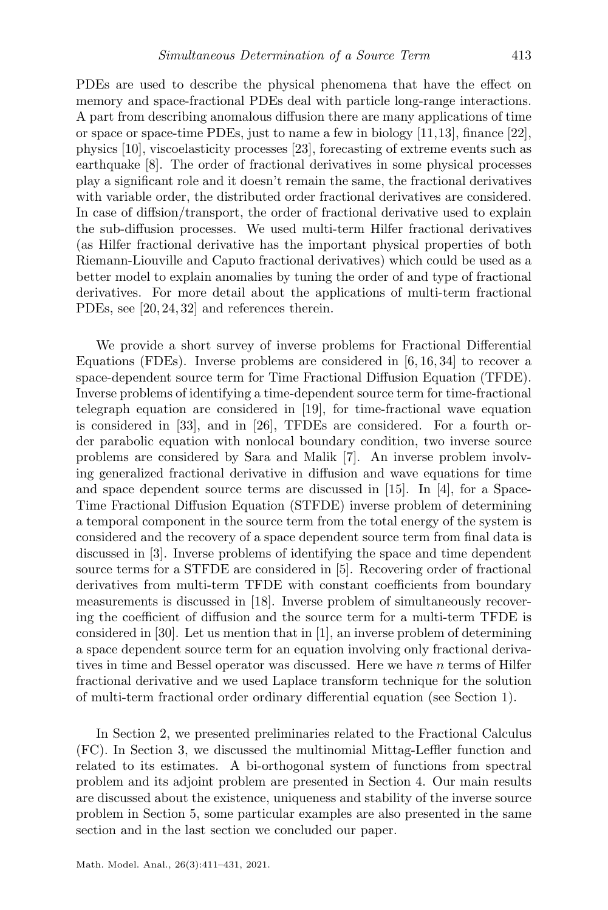PDEs are used to describe the physical phenomena that have the effect on memory and space-fractional PDEs deal with particle long-range interactions. A part from describing anomalous diffusion there are many applications of time or space or space-time PDEs, just to name a few in biology [\[11,](#page-19-1)[13\]](#page-19-2), finance [\[22\]](#page-19-3), physics [\[10\]](#page-19-4), viscoelasticity processes [\[23\]](#page-19-5), forecasting of extreme events such as earthquake [\[8\]](#page-18-0). The order of fractional derivatives in some physical processes play a significant role and it doesn't remain the same, the fractional derivatives with variable order, the distributed order fractional derivatives are considered. In case of diffsion/transport, the order of fractional derivative used to explain the sub-diffusion processes. We used multi-term Hilfer fractional derivatives (as Hilfer fractional derivative has the important physical properties of both Riemann-Liouville and Caputo fractional derivatives) which could be used as a better model to explain anomalies by tuning the order of and type of fractional derivatives. For more detail about the applications of multi-term fractional PDEs, see [\[20,](#page-19-6) [24,](#page-19-7) [32\]](#page-20-4) and references therein.

We provide a short survey of inverse problems for Fractional Differential Equations (FDEs). Inverse problems are considered in [\[6,](#page-18-1) [16,](#page-19-8) [34\]](#page-20-5) to recover a space-dependent source term for Time Fractional Diffusion Equation (TFDE). Inverse problems of identifying a time-dependent source term for time-fractional telegraph equation are considered in [\[19\]](#page-19-9), for time-fractional wave equation is considered in [\[33\]](#page-20-6), and in [\[26\]](#page-20-7), TFDEs are considered. For a fourth order parabolic equation with nonlocal boundary condition, two inverse source problems are considered by Sara and Malik [\[7\]](#page-18-2). An inverse problem involving generalized fractional derivative in diffusion and wave equations for time and space dependent source terms are discussed in [\[15\]](#page-19-10). In [\[4\]](#page-18-3), for a Space-Time Fractional Diffusion Equation (STFDE) inverse problem of determining a temporal component in the source term from the total energy of the system is considered and the recovery of a space dependent source term from final data is discussed in [\[3\]](#page-18-4). Inverse problems of identifying the space and time dependent source terms for a STFDE are considered in [\[5\]](#page-18-5). Recovering order of fractional derivatives from multi-term TFDE with constant coefficients from boundary measurements is discussed in [\[18\]](#page-19-11). Inverse problem of simultaneously recovering the coefficient of diffusion and the source term for a multi-term TFDE is considered in [\[30\]](#page-20-8). Let us mention that in [\[1\]](#page-18-6), an inverse problem of determining a space dependent source term for an equation involving only fractional derivatives in time and Bessel operator was discussed. Here we have n terms of Hilfer fractional derivative and we used Laplace transform technique for the solution of multi-term fractional order ordinary differential equation (see Section [1\)](#page-9-0).

In Section [2,](#page-3-0) we presented preliminaries related to the Fractional Calculus (FC). In Section [3,](#page-4-0) we discussed the multinomial Mittag-Leffler function and related to its estimates. A bi-orthogonal system of functions from spectral problem and its adjoint problem are presented in Section [4.](#page-8-0) Our main results are discussed about the existence, uniqueness and stability of the inverse source problem in Section [5,](#page-9-1) some particular examples are also presented in the same section and in the last section we concluded our paper.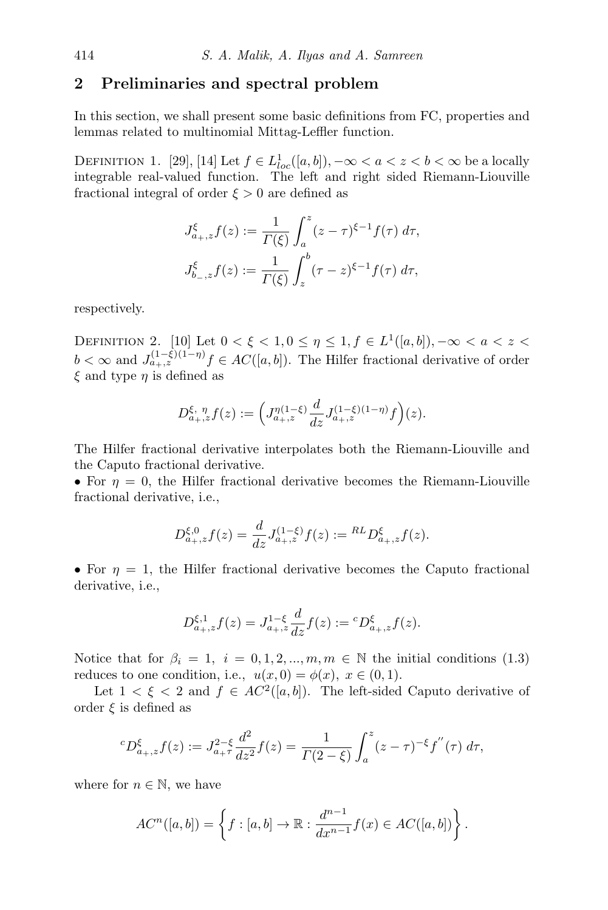## <span id="page-3-0"></span>2 Preliminaries and spectral problem

In this section, we shall present some basic definitions from FC, properties and lemmas related to multinomial Mittag-Leffler function.

DEFINITION 1. [\[29\]](#page-20-9), [\[14\]](#page-19-12) Let  $f \in L^1_{loc}([a, b]), -\infty < a < z < b < \infty$  be a locally integrable real-valued function. The left and right sided Riemann-Liouville fractional integral of order  $\xi > 0$  are defined as

$$
J_{a_+,z}^{\xi} f(z) := \frac{1}{\Gamma(\xi)} \int_a^z (z - \tau)^{\xi - 1} f(\tau) d\tau,
$$
  

$$
J_{b_-,z}^{\xi} f(z) := \frac{1}{\Gamma(\xi)} \int_z^b (\tau - z)^{\xi - 1} f(\tau) d\tau,
$$

respectively.

DEFINITION 2. [\[10\]](#page-19-4) Let  $0 < \xi < 1, 0 \le \eta \le 1, f \in L^1([a, b]), -\infty < a < z <$  $b < \infty$  and  $J_{a_+,z}^{(1-\xi)(1-\eta)}f \in AC([a,b])$ . The Hilfer fractional derivative of order  $\xi$  and type  $\eta$  is defined as

$$
D_{a_+,z}^{\xi, \eta} f(z) := \left( J_{a_+,z}^{\eta(1-\xi)} \frac{d}{dz} J_{a_+,z}^{(1-\xi)(1-\eta)} f \right)(z).
$$

The Hilfer fractional derivative interpolates both the Riemann-Liouville and the Caputo fractional derivative.

• For  $\eta = 0$ , the Hilfer fractional derivative becomes the Riemann-Liouville fractional derivative, i.e.,

$$
D_{a_+,z}^{\xi,0}f(z) = \frac{d}{dz}J_{a_+,z}^{(1-\xi)}f(z) := {}^{RL}D_{a_+,z}^{\xi}f(z).
$$

• For  $\eta = 1$ , the Hilfer fractional derivative becomes the Caputo fractional derivative, i.e.,

$$
D_{a_+,z}^{\xi,1}f(z) = J_{a_+,z}^{1-\xi} \frac{d}{dz} f(z) := {^c}D_{a_+,z}^{\xi} f(z).
$$

Notice that for  $\beta_i = 1, i = 0, 1, 2, ..., m, m \in \mathbb{N}$  the initial conditions [\(1.3\)](#page-1-0) reduces to one condition, i.e.,  $u(x, 0) = \phi(x)$ ,  $x \in (0, 1)$ .

Let  $1 < \xi < 2$  and  $f \in AC^2([a, b])$ . The left-sided Caputo derivative of order  $\xi$  is defined as

$$
{}^{c}D_{a_+,z}^{\xi}f(z) := J_{a+\tau}^{2-\xi} \frac{d^2}{dz^2} f(z) = \frac{1}{\Gamma(2-\xi)} \int_a^z (z-\tau)^{-\xi} f''(\tau) d\tau,
$$

<span id="page-3-1"></span>where for  $n \in \mathbb{N}$ , we have

$$
AC^{n}([a,b]) = \left\{ f : [a,b] \to \mathbb{R} : \frac{d^{n-1}}{dx^{n-1}} f(x) \in AC([a,b]) \right\}.
$$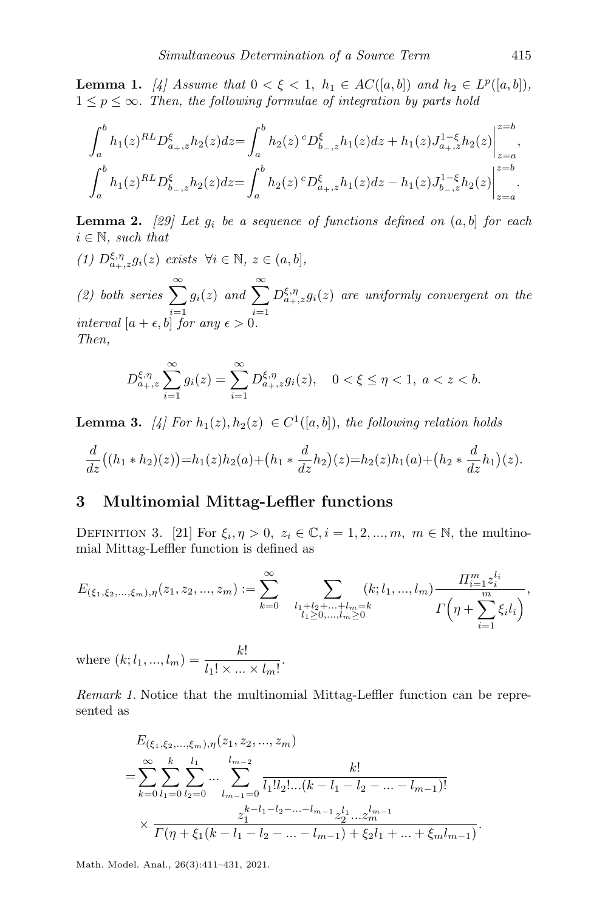**Lemma 1.** [\[4\]](#page-18-3) Assume that  $0 < \xi < 1$ ,  $h_1 \in AC([a, b])$  and  $h_2 \in L^p([a, b])$ ,  $1 \leq p \leq \infty$ . Then, the following formulae of integration by parts hold

$$
\int_a^b h_1(z)^{RL} D_{a_+,z}^\xi h_2(z)dz = \int_a^b h_2(z)^{c} D_{b_-,z}^\xi h_1(z)dz + h_1(z) J_{a_+,z}^{1-\xi} h_2(z) \Big|_{z=a}^{z=b},
$$
  

$$
\int_a^b h_1(z)^{RL} D_{b_-,z}^\xi h_2(z)dz = \int_a^b h_2(z)^{c} D_{a_+,z}^\xi h_1(z)dz - h_1(z) J_{b_-,z}^{1-\xi} h_2(z) \Big|_{z=a}^{z=b}.
$$

<span id="page-4-3"></span>**Lemma 2.** [\[29\]](#page-20-9) Let  $g_i$  be a sequence of functions defined on  $(a, b]$  for each  $i \in \mathbb{N}$ , such that

 $(1)~D^{\xi,\eta}_{a_+,z}g_i(z)~\,exists~\forall i\in\mathbb{N},~z\in(a,b],$ 

(2) both series  $\sum_{n=1}^{\infty}$  $i=1$  $g_i(z)$  and  $\sum^{\infty}$  $i=1$  $D_{a_+,z}^{\xi,\eta}g_i(z)$  are uniformly convergent on the interval  $[a + \epsilon, b]$  for any  $\epsilon > 0$ . Then,

$$
D_{a_+,z}^{\xi,\eta} \sum_{i=1}^{\infty} g_i(z) = \sum_{i=1}^{\infty} D_{a_+,z}^{\xi,\eta} g_i(z), \quad 0 < \xi \le \eta < 1, \ a < z < b.
$$

<span id="page-4-2"></span>**Lemma 3.** [\[4\]](#page-18-3) For  $h_1(z)$ ,  $h_2(z) \in C^1([a, b])$ , the following relation holds

$$
\frac{d}{dz}((h_1 * h_2)(z)) = h_1(z)h_2(a) + (h_1 * \frac{d}{dz}h_2)(z) = h_2(z)h_1(a) + (h_2 * \frac{d}{dz}h_1)(z).
$$

## <span id="page-4-0"></span>3 Multinomial Mittag-Leffler functions

DEFINITION 3. [\[21\]](#page-19-13) For  $\xi_i, \eta > 0, z_i \in \mathbb{C}, i = 1, 2, ..., m, m \in \mathbb{N}$ , the multinomial Mittag-Leffler function is defined as

$$
E_{(\xi_1,\xi_2,\ldots,\xi_m),\eta}(z_1,z_2,\ldots,z_m) := \sum_{k=0}^{\infty} \sum_{\substack{l_1+l_2+\ldots+l_m=k\\l_1\geq 0,\ldots,l_m\geq 0}} (k;l_1,\ldots,l_m) \frac{\prod_{i=1}^m z_i^{l_i}}{\prod_{i=1}^m \xi_i l_i},
$$

where  $(k; l_1, ..., l_m) = \frac{k!}{l_1! \times ... \times l_m!}$ .

<span id="page-4-1"></span>Remark 1. Notice that the multinomial Mittag-Leffler function can be represented as

$$
E_{(\xi_1,\xi_2,\ldots,\xi_m),\eta}(z_1,z_2,\ldots,z_m)
$$
\n
$$
= \sum_{k=0}^{\infty} \sum_{l_1=0}^{k} \sum_{l_2=0}^{l_1} \cdots \sum_{l_{m-1}=0}^{l_{m-2}} \frac{k!}{l_1! l_2! \cdots (k-l_1-l_2-\ldots-l_{m-1})!}
$$
\n
$$
\times \frac{z_1^{k-l_1-l_2-\ldots-l_{m-1}} z_2^{l_1} \cdots z_m^{l_{m-1}}}{\Gamma(\eta + \xi_1(k-l_1-l_2-\ldots-l_{m-1}) + \xi_2 l_1 + \ldots + \xi_m l_{m-1})}.
$$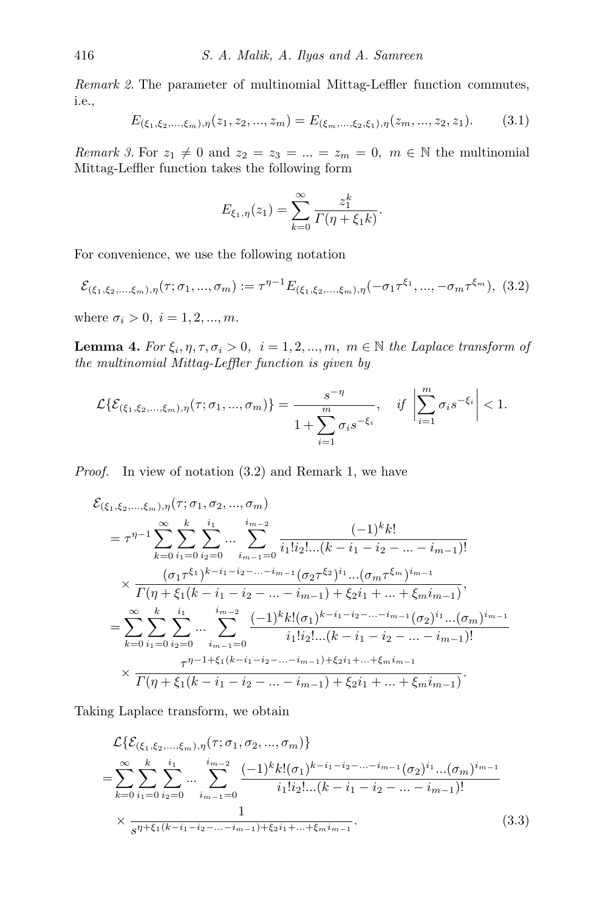<span id="page-5-2"></span>Remark 2. The parameter of multinomial Mittag-Leffler function commutes, i.e.,

$$
E_{(\xi_1,\xi_2,\ldots,\xi_m),\eta}(z_1,z_2,\ldots,z_m) = E_{(\xi_m,\ldots,\xi_2,\xi_1),\eta}(z_m,\ldots,z_2,z_1). \tag{3.1}
$$

Remark 3. For  $z_1 \neq 0$  and  $z_2 = z_3 = ... = z_m = 0$ ,  $m \in \mathbb{N}$  the multinomial Mittag-Leffler function takes the following form

<span id="page-5-3"></span><span id="page-5-0"></span>
$$
E_{\xi_1,\eta}(z_1) = \sum_{k=0}^{\infty} \frac{z_1^k}{\Gamma(\eta + \xi_1 k)}.
$$

For convenience, we use the following notation

$$
\mathcal{E}_{(\xi_1,\xi_2,\ldots,\xi_m),\eta}(\tau;\sigma_1,\ldots,\sigma_m) := \tau^{\eta-1} E_{(\xi_1,\xi_2,\ldots,\xi_m),\eta}(-\sigma_1\tau^{\xi_1},\ldots,-\sigma_m\tau^{\xi_m}),
$$
(3.2)

where  $\sigma_i > 0, i = 1, 2, ..., m$ .

**Lemma 4.** For  $\xi_i, \eta, \tau, \sigma_i > 0$ ,  $i = 1, 2, ..., m$ ,  $m \in \mathbb{N}$  the Laplace transform of the multinomial Mittag-Leffler function is given by

$$
\mathcal{L}\{\mathcal{E}_{(\xi_1,\xi_2,...,\xi_m),\eta}(\tau;\sigma_1,...,\sigma_m)\} = \frac{s^{-\eta}}{1+\sum_{i=1}^m \sigma_i s^{-\xi_i}}, \quad \text{if } \left|\sum_{i=1}^m \sigma_i s^{-\xi_i}\right| < 1.
$$

Proof. In view of notation [\(3.2\)](#page-5-0) and Remark [1,](#page-4-1) we have

$$
\mathcal{E}_{(\xi_1,\xi_2,...,\xi_m),\eta}(\tau;\sigma_1,\sigma_2,...,\sigma_m)
$$
\n
$$
= \tau^{\eta-1} \sum_{k=0}^{\infty} \sum_{i_1=0}^k \sum_{i_2=0}^{i_1} \dots \sum_{i_{m-1}=0}^{i_{m-2}} \frac{(-1)^k k!}{i_1! i_2! \dots (k-i_1-i_2-\dots-i_{m-1})!}
$$
\n
$$
\times \frac{(\sigma_1 \tau^{\xi_1})^{k-i_1-i_2-\dots-i_{m-1}} (\sigma_2 \tau^{\xi_2})^{i_1} \dots (\sigma_m \tau^{\xi_m})^{i_{m-1}}}{\Gamma(\eta+\xi_1(k-i_1-i_2-\dots-i_{m-1})+\xi_2 i_1+\dots+\xi_m i_{m-1})},
$$
\n
$$
= \sum_{k=0}^{\infty} \sum_{i_1=0}^k \sum_{i_2=0}^{i_1} \dots \sum_{i_{m-1}=0}^{i_{m-2}} \frac{(-1)^k k! (\sigma_1)^{k-i_1-i_2-\dots-i_{m-1}} (\sigma_2)^{i_1} \dots (\sigma_m)^{i_{m-1}}}{i_1! i_2! \dots (k-i_1-i_2-\dots-i_{m-1})!}
$$
\n
$$
\times \frac{\tau^{\eta-1+\xi_1(k-i_1-i_2-\dots-i_{m-1})+\xi_2 i_1+\dots+\xi_m i_{m-1}}}{\Gamma(\eta+\xi_1(k-i_1-i_2-\dots-i_{m-1})+\xi_2 i_1+\dots+\xi_m i_{m-1})}.
$$

Taking Laplace transform, we obtain

<span id="page-5-1"></span>
$$
\mathcal{L}\{\mathcal{E}(\xi_1,\xi_2,...,\xi_m),\eta(\tau;\sigma_1,\sigma_2,...,\sigma_m)\}\n= \sum_{k=0}^{\infty} \sum_{i_1=0}^k \sum_{i_2=0}^{i_1} \cdots \sum_{i_{m-1}=0}^{i_{m-2}} \frac{(-1)^k k!(\sigma_1)^{k-i_1-i_2-\cdots-i_{m-1}}(\sigma_2)^{i_1}...( \sigma_m)^{i_{m-1}}}{i_1!i_2!...(k-i_1-i_2-\cdots-i_{m-1})!}\n\times \frac{1}{s^{\eta+\xi_1(k-i_1-i_2-\cdots-i_{m-1})+\xi_2i_1+\cdots+\xi_mi_{m-1}}}.
$$
\n(3.3)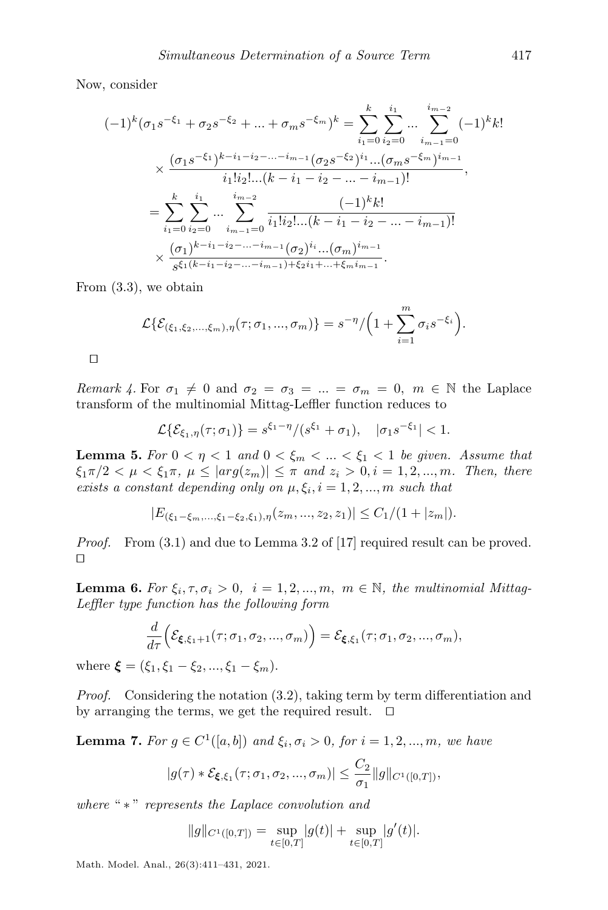Now, consider

$$
(-1)^{k}(\sigma_{1}s^{-\xi_{1}} + \sigma_{2}s^{-\xi_{2}} + \dots + \sigma_{m}s^{-\xi_{m}})^{k} = \sum_{i_{1}=0}^{k} \sum_{i_{2}=0}^{i_{1}} \dots \sum_{i_{m-1}=0}^{i_{m-2}} (-1)^{k}k!
$$
  

$$
\times \frac{(\sigma_{1}s^{-\xi_{1}})^{k-i_{1}-i_{2}-\dots-i_{m-1}}(\sigma_{2}s^{-\xi_{2}})^{i_{1}}\dots(\sigma_{m}s^{-\xi_{m}})^{i_{m-1}}}{i_{1}!i_{2}!\dots(k-i_{1}-i_{2}-\dots-i_{m-1})!},
$$

$$
= \sum_{i_{1}=0}^{k} \sum_{i_{2}=0}^{i_{1}} \dots \sum_{i_{m-1}=0}^{i_{m-2}} \frac{(-1)^{k}k!}{i_{1}!i_{2}!\dots(k-i_{1}-i_{2}-\dots-i_{m-1})!}
$$

$$
\times \frac{(\sigma_{1})^{k-i_{1}-i_{2}-\dots-i_{m-1}}(\sigma_{2})^{i_{i}}\dots(\sigma_{m})^{i_{m-1}}}{s^{\xi_{1}(k-i_{1}-i_{2}-\dots-i_{m-1})+\xi_{2}i_{1}+\dots+\xi_{m}i_{m-1}}}.
$$

From [\(3.3\)](#page-5-1), we obtain

$$
\mathcal{L}\{\mathcal{E}_{(\xi_1,\xi_2,...,\xi_m),\eta}(\tau;\sigma_1,...,\sigma_m)\}=s^{-\eta}/\Big(1+\sum_{i=1}^m\sigma_i s^{-\xi_i}\Big).
$$

 $\Box$ 

Remark 4. For  $\sigma_1 \neq 0$  and  $\sigma_2 = \sigma_3 = ... = \sigma_m = 0$ ,  $m \in \mathbb{N}$  the Laplace transform of the multinomial Mittag-Leffler function reduces to

$$
\mathcal{L}\{\mathcal{E}_{\xi_1,\eta}(\tau;\sigma_1)\}=s^{\xi_1-\eta}/(s^{\xi_1}+\sigma_1), \quad |\sigma_1s^{-\xi_1}|<1.
$$

<span id="page-6-1"></span>**Lemma 5.** For  $0 < \eta < 1$  and  $0 < \xi_m < ... < \xi_1 < 1$  be given. Assume that  $|\xi_1\pi/2| < \mu < \xi_1\pi$ ,  $\mu \leq |arg(z_m)| \leq \pi$  and  $z_i > 0$ ,  $i = 1, 2, ..., m$ . Then, there exists a constant depending only on  $\mu, \xi_i, i = 1, 2, ..., m$  such that

$$
|E_{(\xi_1-\xi_m,\ldots,\xi_1-\xi_2,\xi_1),\eta}(z_m,\ldots,z_2,z_1)| \leq C_1/(1+|z_m|).
$$

*Proof.* From [\(3.1\)](#page-5-2) and due to Lemma 3.2 of [\[17\]](#page-19-14) required result can be proved.  $\Box$ 

<span id="page-6-0"></span>**Lemma 6.** For  $\xi_i, \tau, \sigma_i > 0$ ,  $i = 1, 2, ..., m$ ,  $m \in \mathbb{N}$ , the multinomial Mittag-Leffler type function has the following form

$$
\frac{d}{d\tau}\Big(\mathcal{E}_{\xi,\xi_1+1}(\tau;\sigma_1,\sigma_2,...,\sigma_m)\Big)=\mathcal{E}_{\xi,\xi_1}(\tau;\sigma_1,\sigma_2,...,\sigma_m),
$$

where  $\xi = (\xi_1, \xi_1 - \xi_2, ..., \xi_1 - \xi_m).$ 

*Proof.* Considering the notation  $(3.2)$ , taking term by term differentiation and by arranging the terms, we get the required result.  $\Box$ 

<span id="page-6-2"></span>**Lemma 7.** For  $g \in C^1([a, b])$  and  $\xi_i, \sigma_i > 0$ , for  $i = 1, 2, ..., m$ , we have

$$
|g(\tau) * \mathcal{E}_{\xi, \xi_1}(\tau; \sigma_1, \sigma_2, ..., \sigma_m)| \leq \frac{C_2}{\sigma_1} ||g||_{C^1([0,T])},
$$

where " $\ast$ " represents the Laplace convolution and

$$
||g||_{C^{1}([0,T])} = \sup_{t \in [0,T]} |g(t)| + \sup_{t \in [0,T]} |g'(t)|.
$$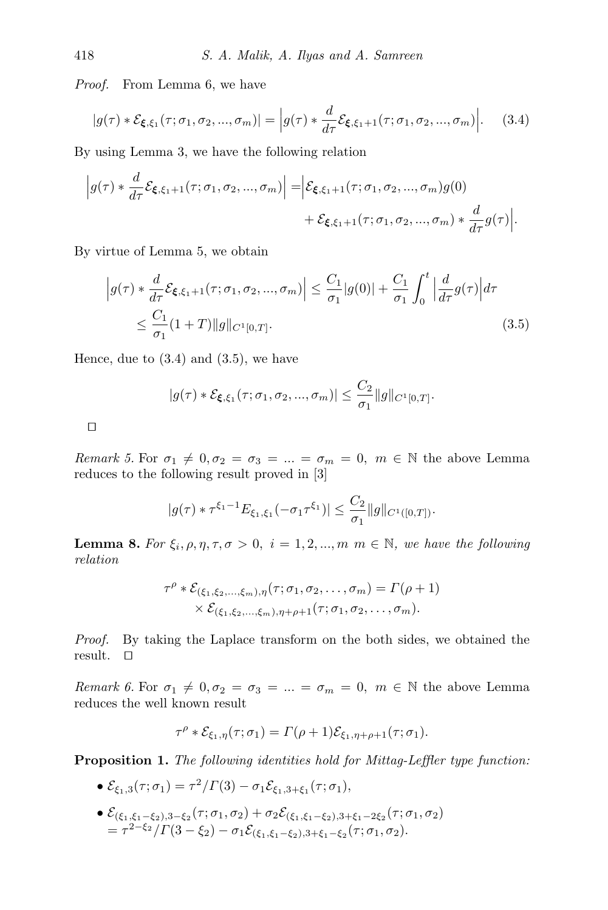Proof. From Lemma [6,](#page-6-0) we have

<span id="page-7-0"></span>
$$
|g(\tau) * \mathcal{E}_{\xi, \xi_1}(\tau; \sigma_1, \sigma_2, \dots, \sigma_m)| = |g(\tau) * \frac{d}{d\tau} \mathcal{E}_{\xi, \xi_1 + 1}(\tau; \sigma_1, \sigma_2, \dots, \sigma_m)|. \tag{3.4}
$$

By using Lemma [3,](#page-4-2) we have the following relation

$$
\left| g(\tau) * \frac{d}{d\tau} \mathcal{E}_{\xi, \xi_1 + 1}(\tau; \sigma_1, \sigma_2, ..., \sigma_m) \right| = \left| \mathcal{E}_{\xi, \xi_1 + 1}(\tau; \sigma_1, \sigma_2, ..., \sigma_m) g(0) \right| + \mathcal{E}_{\xi, \xi_1 + 1}(\tau; \sigma_1, \sigma_2, ..., \sigma_m) * \frac{d}{d\tau} g(\tau) \right|.
$$

By virtue of Lemma [5,](#page-6-1) we obtain

$$
\left| g(\tau) * \frac{d}{d\tau} \mathcal{E}_{\xi, \xi_1 + 1}(\tau; \sigma_1, \sigma_2, ..., \sigma_m) \right| \leq \frac{C_1}{\sigma_1} |g(0)| + \frac{C_1}{\sigma_1} \int_0^t \left| \frac{d}{d\tau} g(\tau) \right| d\tau
$$
  
 
$$
\leq \frac{C_1}{\sigma_1} (1 + T) \|g\|_{C^1[0, T]}.
$$
 (3.5)

Hence, due to  $(3.4)$  and  $(3.5)$ , we have

<span id="page-7-1"></span>
$$
|g(\tau) * \mathcal{E}_{\xi, \xi_1}(\tau; \sigma_1, \sigma_2, ..., \sigma_m)| \leq \frac{C_2}{\sigma_1} ||g||_{C^1[0,T]}.
$$

 $\Box$ 

Remark 5. For  $\sigma_1 \neq 0, \sigma_2 = \sigma_3 = ... = \sigma_m = 0, m \in \mathbb{N}$  the above Lemma reduces to the following result proved in [\[3\]](#page-18-4)

$$
|g(\tau)*\tau^{\xi_1-1}E_{\xi_1,\xi_1}(-\sigma_1\tau^{\xi_1})| \leq \frac{C_2}{\sigma_1}||g||_{C^1([0,T])}.
$$

<span id="page-7-2"></span>**Lemma 8.** For  $\xi_i$ ,  $\rho$ ,  $\eta$ ,  $\tau$ ,  $\sigma > 0$ ,  $i = 1, 2, ..., m$   $m \in \mathbb{N}$ , we have the following relation

$$
\tau^{\rho} * \mathcal{E}_{(\xi_1,\xi_2,\ldots,\xi_m),\eta}(\tau;\sigma_1,\sigma_2,\ldots,\sigma_m) = \Gamma(\rho+1)
$$
  
 
$$
\times \mathcal{E}_{(\xi_1,\xi_2,\ldots,\xi_m),\eta+\rho+1}(\tau;\sigma_1,\sigma_2,\ldots,\sigma_m).
$$

Proof. By taking the Laplace transform on the both sides, we obtained the result.  $\square$ 

Remark 6. For  $\sigma_1 \neq 0, \sigma_2 = \sigma_3 = ... = \sigma_m = 0, m \in \mathbb{N}$  the above Lemma reduces the well known result

$$
\tau^{\rho} * \mathcal{E}_{\xi_1, \eta}(\tau; \sigma_1) = \Gamma(\rho + 1) \mathcal{E}_{\xi_1, \eta + \rho + 1}(\tau; \sigma_1).
$$

<span id="page-7-3"></span>Proposition 1. The following identities hold for Mittag-Leffler type function:

- $\mathcal{E}_{\xi_1,3}(\tau;\sigma_1) = \tau^2/\Gamma(3) \sigma_1 \mathcal{E}_{\xi_1,3+\xi_1}(\tau;\sigma_1),$
- $\bullet \; \mathcal{E}_{(\xi_1,\xi_1-\xi_2),3-\xi_2}(\tau;\sigma_1,\sigma_2) + \sigma_2 \mathcal{E}_{(\xi_1,\xi_1-\xi_2),3+\xi_1-2\xi_2}(\tau;\sigma_1,\sigma_2)$ =  $\tau^{2-\xi_2}/\Gamma(3-\xi_2) - \sigma_1 \mathcal{E}_{(\xi_1,\xi_1-\xi_2),3+\xi_1-\xi_2}(\tau;\sigma_1,\sigma_2).$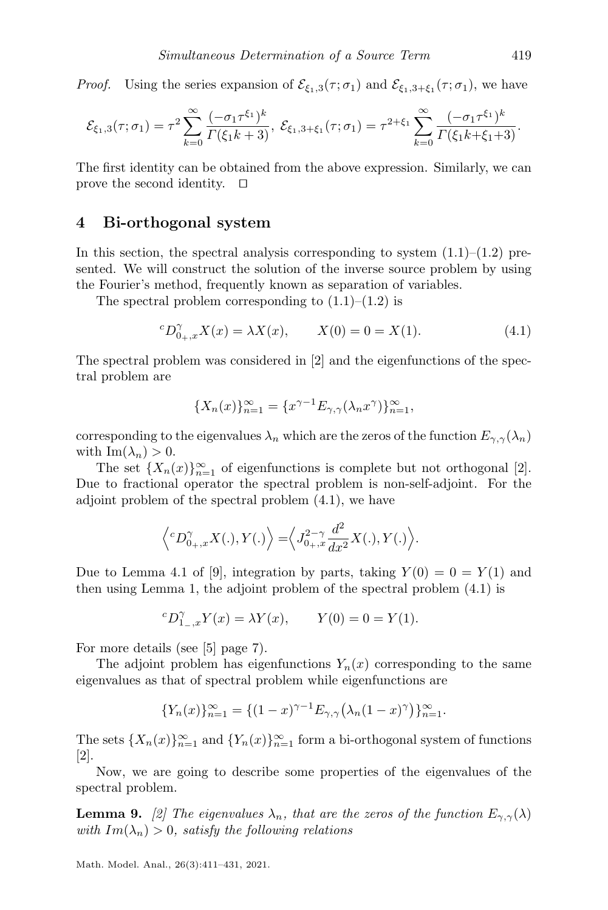*Proof.* Using the series expansion of  $\mathcal{E}_{\xi_1,3}(\tau;\sigma_1)$  and  $\mathcal{E}_{\xi_1,3+\xi_1}(\tau;\sigma_1)$ , we have

$$
\mathcal{E}_{\xi_1,3}(\tau;\sigma_1)=\tau^2\sum_{k=0}^{\infty}\frac{(-\sigma_1\tau^{\xi_1})^k}{\Gamma(\xi_1k+3)},\ \mathcal{E}_{\xi_1,3+\xi_1}(\tau;\sigma_1)=\tau^{2+\xi_1}\sum_{k=0}^{\infty}\frac{(-\sigma_1\tau^{\xi_1})^k}{\Gamma(\xi_1k+\xi_1+3)}.
$$

The first identity can be obtained from the above expression. Similarly, we can prove the second identity.  $\square$ 

#### <span id="page-8-0"></span>4 Bi-orthogonal system

In this section, the spectral analysis corresponding to system  $(1.1)$ – $(1.2)$  presented. We will construct the solution of the inverse source problem by using the Fourier's method, frequently known as separation of variables.

The spectral problem corresponding to  $(1.1)$ – $(1.2)$  is

<span id="page-8-1"></span>
$$
{}^{c}D_{0_+,x}^{\gamma}X(x) = \lambda X(x), \qquad X(0) = 0 = X(1). \tag{4.1}
$$

The spectral problem was considered in [\[2\]](#page-18-7) and the eigenfunctions of the spectral problem are

$$
\{X_n(x)\}_{n=1}^\infty = \{x^{\gamma - 1}E_{\gamma,\gamma}(\lambda_n x^\gamma)\}_{n=1}^\infty,
$$

corresponding to the eigenvalues  $\lambda_n$  which are the zeros of the function  $E_{\gamma,\gamma}(\lambda_n)$ with  $\text{Im}(\lambda_n) > 0$ .

The set  $\{X_n(x)\}_{n=1}^{\infty}$  of eigenfunctions is complete but not orthogonal [\[2\]](#page-18-7). Due to fractional operator the spectral problem is non-self-adjoint. For the adjoint problem of the spectral problem [\(4.1\)](#page-8-1), we have

$$
\langle C D_{0_+,x}^{\gamma} X(.) , Y(.) \rangle = \langle J_{0_+,x}^{2-\gamma} \frac{d^2}{dx^2} X(.) , Y(.) \rangle.
$$

Due to Lemma 4.1 of [\[9\]](#page-19-15), integration by parts, taking  $Y(0) = 0 = Y(1)$  and then using Lemma [1,](#page-3-1) the adjoint problem of the spectral problem [\(4.1\)](#page-8-1) is

$$
{}^{c}D_{1_{-},x}^{\gamma}Y(x) = \lambda Y(x), \qquad Y(0) = 0 = Y(1).
$$

For more details (see [\[5\]](#page-18-5) page 7).

The adjoint problem has eigenfunctions  $Y_n(x)$  corresponding to the same eigenvalues as that of spectral problem while eigenfunctions are

<span id="page-8-2"></span>
$$
\{Y_n(x)\}_{n=1}^{\infty} = \{(1-x)^{\gamma-1}E_{\gamma,\gamma}(\lambda_n(1-x)^{\gamma})\}_{n=1}^{\infty}.
$$

The sets  ${X_n(x)}_{n=1}^{\infty}$  and  ${Y_n(x)}_{n=1}^{\infty}$  form a bi-orthogonal system of functions [\[2\]](#page-18-7).

Now, we are going to describe some properties of the eigenvalues of the spectral problem.

**Lemma 9.** [\[2\]](#page-18-7) The eigenvalues  $\lambda_n$ , that are the zeros of the function  $E_{\gamma,\gamma}(\lambda)$ with  $Im(\lambda_n) > 0$ , satisfy the following relations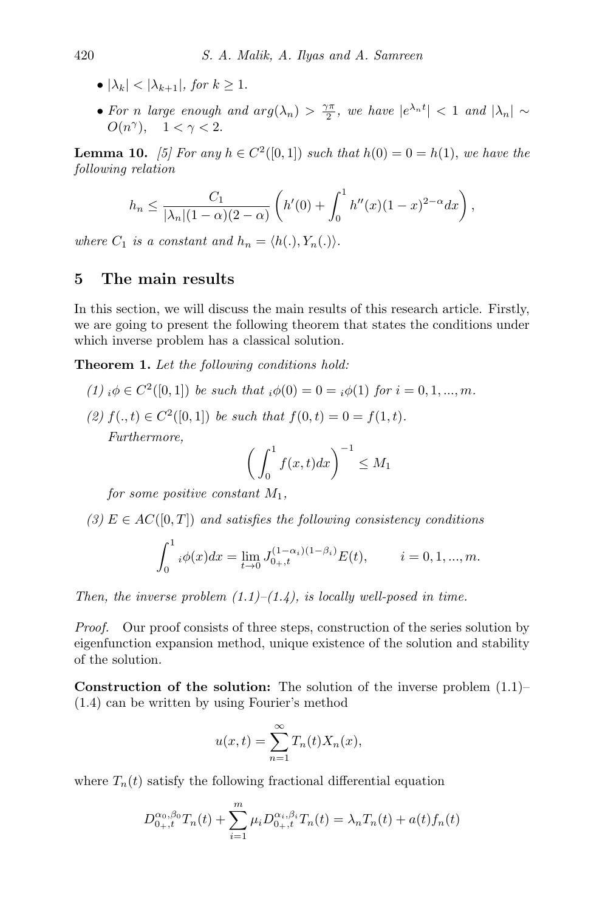- $|\lambda_k| < |\lambda_{k+1}|$ , for  $k > 1$ .
- For n large enough and  $arg(\lambda_n) > \frac{\gamma \pi}{2}$ , we have  $|e^{\lambda_n t}| < 1$  and  $|\lambda_n| \sim$  $O(n^{\gamma}), \quad 1 < \gamma < 2.$

<span id="page-9-2"></span>**Lemma 10.** [\[5\]](#page-18-5) For any  $h \in C^2([0,1])$  such that  $h(0) = 0 = h(1)$ , we have the following relation

$$
h_n \le \frac{C_1}{|\lambda_n|(1-\alpha)(2-\alpha)} \left( h'(0) + \int_0^1 h''(x)(1-x)^{2-\alpha} dx \right),
$$

where  $C_1$  is a constant and  $h_n = \langle h(.) , Y_n(.) \rangle$ .

# <span id="page-9-1"></span>5 The main results

In this section, we will discuss the main results of this research article. Firstly, we are going to present the following theorem that states the conditions under which inverse problem has a classical solution.

Theorem 1. Let the following conditions hold:

- (1)  ${}_{i}\phi \in C^{2}([0,1])$  be such that  ${}_{i}\phi(0) = 0 = {}_{i}\phi(1)$  for  $i = 0,1,...,m$ .
- (2)  $f(.,t) \in C^2([0,1])$  be such that  $f(0,t) = 0 = f(1,t)$ . Furthermore,

<span id="page-9-0"></span>
$$
\left(\int_0^1 f(x,t)dx\right)^{-1} \le M_1
$$

for some positive constant  $M_1$ ,

(3)  $E \in AC([0,T])$  and satisfies the following consistency conditions

$$
\int_0^1 i\phi(x)dx = \lim_{t \to 0} J_{0+,t}^{(1-\alpha_i)(1-\beta_i)} E(t), \qquad i = 0, 1, ..., m.
$$

Then, the inverse problem  $(1.1)$ – $(1.4)$ , is locally well-posed in time.

*Proof.* Our proof consists of three steps, construction of the series solution by eigenfunction expansion method, unique existence of the solution and stability of the solution.

**Construction of the solution:** The solution of the inverse problem  $(1.1)$ – [\(1.4\)](#page-1-3) can be written by using Fourier's method

$$
u(x,t) = \sum_{n=1}^{\infty} T_n(t) X_n(x),
$$

where  $T_n(t)$  satisfy the following fractional differential equation

$$
D_{0_{+},t}^{\alpha_{0},\beta_{0}}T_{n}(t) + \sum_{i=1}^{m} \mu_{i} D_{0_{+},t}^{\alpha_{i},\beta_{i}} T_{n}(t) = \lambda_{n} T_{n}(t) + a(t) f_{n}(t)
$$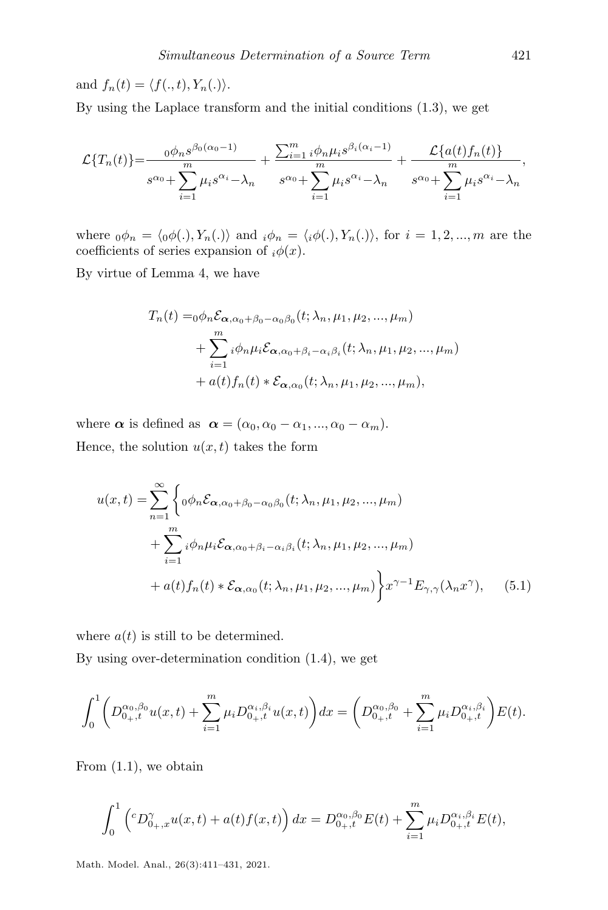and  $f_n(t) = \langle f(., t), Y_n(.)\rangle$ .

By using the Laplace transform and the initial conditions [\(1.3\)](#page-1-0), we get

$$
\mathcal{L}\{T_n(t)\} = \frac{0 \phi_n s^{\beta_0(\alpha_0 - 1)}}{s^{\alpha_0} + \sum_{i=1}^m \mu_i s^{\alpha_i} - \lambda_n} + \frac{\sum_{i=1}^m i \phi_n \mu_i s^{\beta_i(\alpha_i - 1)}}{s^{\alpha_0} + \sum_{i=1}^m \mu_i s^{\alpha_i} - \lambda_n} + \frac{\mathcal{L}\{a(t)f_n(t)\}}{s^{\alpha_0} + \sum_{i=1}^m \mu_i s^{\alpha_i} - \lambda_n},
$$

where  $_0\phi_n = \langle_0\phi(.) , Y_n(.) \rangle$  and  $_i\phi_n = \langle_0\phi(.) , Y_n(.) \rangle$ , for  $i = 1, 2, ..., m$  are the coefficients of series expansion of  $_i\phi(x)$ .

By virtue of Lemma [4,](#page-5-3) we have

$$
T_n(t) = 0 \phi_n \mathcal{E}_{\boldsymbol{\alpha}, \alpha_0 + \beta_0 - \alpha_0 \beta_0}(t; \lambda_n, \mu_1, \mu_2, ..., \mu_m)
$$
  
+ 
$$
\sum_{i=1}^m i \phi_n \mu_i \mathcal{E}_{\boldsymbol{\alpha}, \alpha_0 + \beta_i - \alpha_i \beta_i}(t; \lambda_n, \mu_1, \mu_2, ..., \mu_m)
$$
  
+ 
$$
a(t) f_n(t) * \mathcal{E}_{\boldsymbol{\alpha}, \alpha_0}(t; \lambda_n, \mu_1, \mu_2, ..., \mu_m),
$$

where  $\alpha$  is defined as  $\alpha = (\alpha_0, \alpha_0 - \alpha_1, ..., \alpha_0 - \alpha_m).$ Hence, the solution  $u(x, t)$  takes the form

<span id="page-10-0"></span>
$$
u(x,t) = \sum_{n=1}^{\infty} \left\{ 0 \phi_n \mathcal{E}_{\alpha,\alpha_0+\beta_0-\alpha_0\beta_0}(t; \lambda_n, \mu_1, \mu_2, ..., \mu_m) \right.+ \sum_{i=1}^m i \phi_n \mu_i \mathcal{E}_{\alpha,\alpha_0+\beta_i-\alpha_i\beta_i}(t; \lambda_n, \mu_1, \mu_2, ..., \mu_m) + a(t) f_n(t) * \mathcal{E}_{\alpha,\alpha_0}(t; \lambda_n, \mu_1, \mu_2, ..., \mu_m) \right\} x^{\gamma-1} E_{\gamma,\gamma}(\lambda_n x^{\gamma}), \quad (5.1)
$$

where  $a(t)$  is still to be determined.

By using over-determination condition [\(1.4\)](#page-1-3), we get

$$
\int_0^1 \bigg(D_{0_+,t}^{\alpha_0,\beta_0}u(x,t) + \sum_{i=1}^m \mu_i D_{0_+,t}^{\alpha_i,\beta_i}u(x,t)\bigg)dx = \bigg(D_{0_+,t}^{\alpha_0,\beta_0} + \sum_{i=1}^m \mu_i D_{0_+,t}^{\alpha_i,\beta_i}\bigg)E(t).
$$

From [\(1.1\)](#page-1-1), we obtain

$$
\int_0^1 \left( {}^c D^{\gamma}_{0_+,x} u(x,t) + a(t) f(x,t) \right) dx = D^{\alpha_0,\beta_0}_{0_+,t} E(t) + \sum_{i=1}^m \mu_i D^{\alpha_i,\beta_i}_{0_+,t} E(t),
$$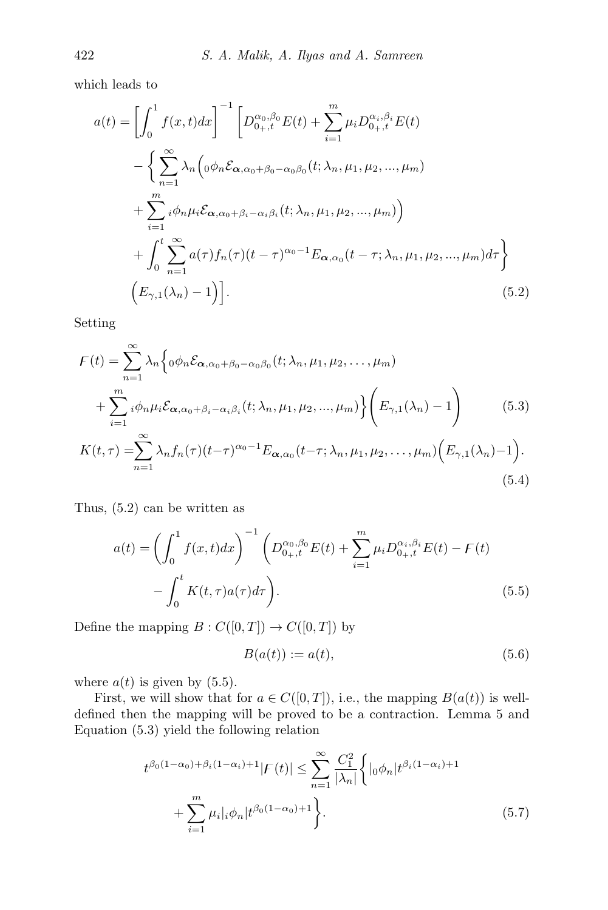which leads to

$$
a(t) = \left[\int_{0}^{1} f(x, t) dx\right]^{-1} \left[D_{0_{+},t}^{\alpha_{0},\beta_{0}} E(t) + \sum_{i=1}^{m} \mu_{i} D_{0_{+},t}^{\alpha_{i},\beta_{i}} E(t)\right.- \left\{\sum_{n=1}^{\infty} \lambda_{n} \left( \int_{0}^{\beta_{n}} \mathcal{E}_{\alpha,\alpha_{0}+\beta_{0}-\alpha_{0}\beta_{0}}(t; \lambda_{n},\mu_{1},\mu_{2},...,\mu_{m}) + \sum_{i=1}^{m} \int_{0}^{\beta_{n}} \mu_{i} \mathcal{E}_{\alpha,\alpha_{0}+\beta_{i}-\alpha_{i}\beta_{i}}(t; \lambda_{n},\mu_{1},\mu_{2},...,\mu_{m})\right) + \int_{0}^{t} \sum_{n=1}^{\infty} a(\tau) f_{n}(\tau) (t-\tau)^{\alpha_{0}-1} E_{\alpha,\alpha_{0}}(t-\tau; \lambda_{n},\mu_{1},\mu_{2},...,\mu_{m}) d\tau \right\}
$$

$$
(5.2)
$$

Setting

<span id="page-11-0"></span>
$$
F(t) = \sum_{n=1}^{\infty} \lambda_n \Biggl\{ 0 \phi_n \mathcal{E}_{\alpha, \alpha_0 + \beta_0 - \alpha_0 \beta_0}(t; \lambda_n, \mu_1, \mu_2, \dots, \mu_m) + \sum_{i=1}^m i \phi_n \mu_i \mathcal{E}_{\alpha, \alpha_0 + \beta_i - \alpha_i \beta_i}(t; \lambda_n, \mu_1, \mu_2, \dots, \mu_m) \Biggr\} \Biggl( E_{\gamma, 1}(\lambda_n) - 1 \Biggr) \tag{5.3}
$$
  

$$
K(t, \tau) = \sum_{n=1}^{\infty} \lambda_n f_n(\tau) (t - \tau)^{\alpha_0 - 1} E_{\alpha, \alpha_0}(t - \tau; \lambda_n, \mu_1, \mu_2, \dots, \mu_m) \Biggl( E_{\gamma, 1}(\lambda_n) - 1 \Biggr).
$$
  
(5.4)

Thus, [\(5.2\)](#page-11-0) can be written as

$$
a(t) = \left(\int_0^1 f(x, t)dx\right)^{-1} \left(D_{0+,t}^{\alpha_0, \beta_0} E(t) + \sum_{i=1}^m \mu_i D_{0+,t}^{\alpha_i, \beta_i} E(t) - F(t)\right)
$$

$$
-\int_0^t K(t, \tau) a(\tau) d\tau\right).
$$
(5.5)

Define the mapping  $B : C([0,T]) \to C([0,T])$  by

<span id="page-11-5"></span><span id="page-11-4"></span><span id="page-11-3"></span><span id="page-11-2"></span><span id="page-11-1"></span>
$$
B(a(t)) := a(t),\tag{5.6}
$$

where  $a(t)$  is given by [\(5.5\)](#page-11-1).

First, we will show that for  $a \in C([0, T])$ , i.e., the mapping  $B(a(t))$  is welldefined then the mapping will be proved to be a contraction. Lemma [5](#page-6-1) and Equation [\(5.3\)](#page-11-2) yield the following relation

$$
t^{\beta_0(1-\alpha_0)+\beta_i(1-\alpha_i)+1} |F(t)| \leq \sum_{n=1}^{\infty} \frac{C_1^2}{|\lambda_n|} \left\{ |\phi_n| t^{\beta_i(1-\alpha_i)+1} + \sum_{i=1}^m \mu_i |_{i} \phi_n | t^{\beta_0(1-\alpha_0)+1} \right\}.
$$
\n(5.7)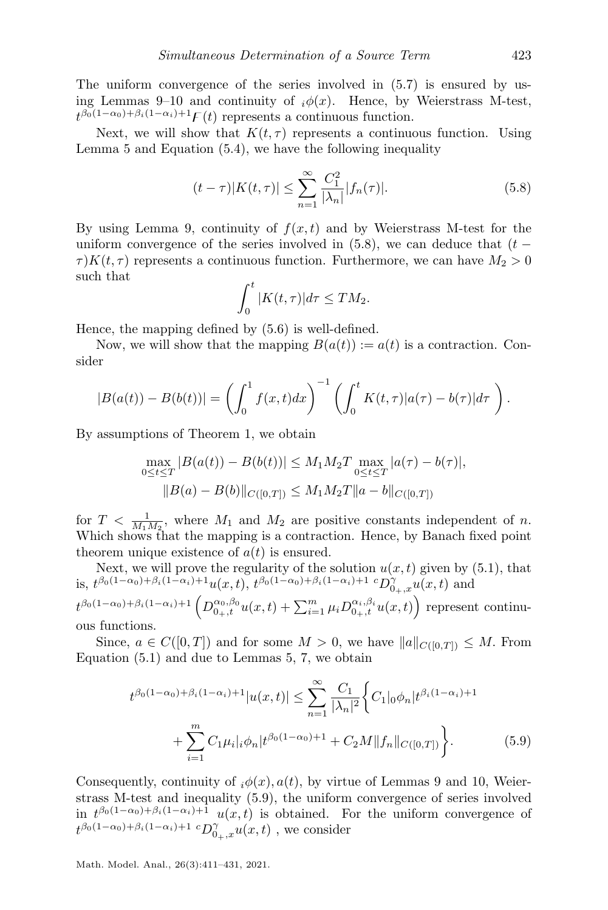The uniform convergence of the series involved in [\(5.7\)](#page-11-3) is ensured by us-ing Lemmas [9–](#page-8-2)[10](#page-9-2) and continuity of  $i\phi(x)$ . Hence, by Weierstrass M-test,  $t^{\beta_0(1-\alpha_0)+\beta_i(1-\alpha_i)+1}F(t)$  represents a continuous function.

Next, we will show that  $K(t, \tau)$  represents a continuous function. Using Lemma [5](#page-6-1) and Equation [\(5.4\)](#page-11-4), we have the following inequality

<span id="page-12-0"></span>
$$
(t - \tau)|K(t, \tau)| \le \sum_{n=1}^{\infty} \frac{C_1^2}{|\lambda_n|} |f_n(\tau)|. \tag{5.8}
$$

By using Lemma [9,](#page-8-2) continuity of  $f(x, t)$  and by Weierstrass M-test for the uniform convergence of the series involved in  $(5.8)$ , we can deduce that  $(t \tau$ )K(t,  $\tau$ ) represents a continuous function. Furthermore, we can have  $M_2 > 0$ such that

$$
\int_0^t |K(t,\tau)|d\tau \le TM_2.
$$

Hence, the mapping defined by [\(5.6\)](#page-11-5) is well-defined.

Now, we will show that the mapping  $B(a(t)) := a(t)$  is a contraction. Consider

$$
|B(a(t))-B(b(t))| = \left(\int_0^1 f(x,t)dx\right)^{-1} \left(\int_0^t K(t,\tau)|a(\tau)-b(\tau)|d\tau\right).
$$

By assumptions of Theorem [1,](#page-9-0) we obtain

$$
\max_{0 \le t \le T} |B(a(t)) - B(b(t))| \le M_1 M_2 T \max_{0 \le t \le T} |a(\tau) - b(\tau)|,
$$
  

$$
||B(a) - B(b)||_{C([0,T])} \le M_1 M_2 T ||a - b||_{C([0,T])}
$$

for  $T < \frac{1}{M_1 M_2}$ , where  $M_1$  and  $M_2$  are positive constants independent of *n*. Which shows that the mapping is a contraction. Hence, by Banach fixed point theorem unique existence of  $a(t)$  is ensured.

Next, we will prove the regularity of the solution  $u(x, t)$  given by [\(5.1\)](#page-10-0), that is,  $t^{\beta_0(1-\alpha_0)+\beta_i(1-\alpha_i)+1}u(x,t)$ ,  $t^{\beta_0(1-\alpha_0)+\beta_i(1-\alpha_i)+1}$   $\circ$   $D_{0+,x}^{\gamma}u(x,t)$  and  $t^{\beta_0(1-\alpha_0)+\beta_i(1-\alpha_i)+1} \left(D_{0_+,t}^{\alpha_0,\beta_0}u(x,t)+\sum_{i=1}^m \mu_i D_{0_+,t}^{\alpha_i,\beta_i}u(x,t)\right)$  represent continu-

ous functions.

Since,  $a \in C([0,T])$  and for some  $M > 0$ , we have  $||a||_{C([0,T])} \leq M$ . From Equation [\(5.1\)](#page-10-0) and due to Lemmas [5,](#page-6-1) [7,](#page-6-2) we obtain

<span id="page-12-1"></span>
$$
t^{\beta_0(1-\alpha_0)+\beta_i(1-\alpha_i)+1}|u(x,t)| \leq \sum_{n=1}^{\infty} \frac{C_1}{|\lambda_n|^2} \left\{ C_1 |0\phi_n| t^{\beta_i(1-\alpha_i)+1} + \sum_{i=1}^m C_1 \mu_i |i\phi_n| t^{\beta_0(1-\alpha_0)+1} + C_2 M \|f_n\|_{C([0,T])} \right\}.
$$
 (5.9)

Consequently, continuity of  $i\phi(x)$ ,  $a(t)$ , by virtue of Lemmas [9](#page-8-2) and [10,](#page-9-2) Weierstrass M-test and inequality [\(5.9\)](#page-12-1), the uniform convergence of series involved in  $t^{\beta_0(1-\alpha_0)+\beta_i(1-\alpha_i)+1}$   $u(x,t)$  is obtained. For the uniform convergence of  $t^{\beta_0(1-\alpha_0)+\beta_i(1-\alpha_i)+1}\ ^cD^{\gamma}_{0+,x}u(x,t)$  , we consider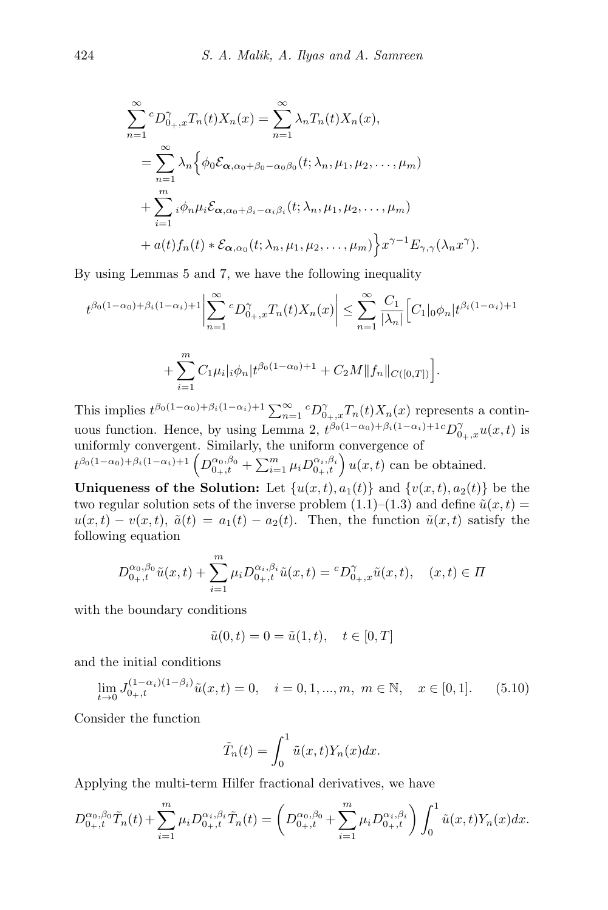$$
\sum_{n=1}^{\infty} {}^{c}D_{0+,x}^{\gamma}T_{n}(t)X_{n}(x) = \sum_{n=1}^{\infty} \lambda_{n}T_{n}(t)X_{n}(x),
$$
  
\n
$$
= \sum_{n=1}^{\infty} \lambda_{n} \Big\{ \phi_{0} \mathcal{E}_{\alpha,\alpha_{0}+\beta_{0}-\alpha_{0}\beta_{0}}(t;\lambda_{n},\mu_{1},\mu_{2},\ldots,\mu_{m}) + \sum_{i=1}^{m} {}_{i}\phi_{n}\mu_{i} \mathcal{E}_{\alpha,\alpha_{0}+\beta_{i}-\alpha_{i}\beta_{i}}(t;\lambda_{n},\mu_{1},\mu_{2},\ldots,\mu_{m}) + a(t)f_{n}(t) * \mathcal{E}_{\alpha,\alpha_{0}}(t;\lambda_{n},\mu_{1},\mu_{2},\ldots,\mu_{m}) \Big\} x^{\gamma-1} E_{\gamma,\gamma}(\lambda_{n}x^{\gamma}).
$$

By using Lemmas [5](#page-6-1) and [7,](#page-6-2) we have the following inequality

$$
t^{\beta_0(1-\alpha_0)+\beta_i(1-\alpha_i)+1} \left| \sum_{n=1}^{\infty} {^cD_{0+}^{\gamma}} x T_n(t) X_n(x) \right| \leq \sum_{n=1}^{\infty} \frac{C_1}{|\lambda_n|} \Big[ C_1 |_0 \phi_n | t^{\beta_i(1-\alpha_i)+1} + \sum_{i=1}^m C_1 \mu_i |_i \phi_n | t^{\beta_0(1-\alpha_0)+1} + C_2 M || f_n ||_{C([0,T])} \Big].
$$

This implies  $t^{\beta_0(1-\alpha_0)+\beta_i(1-\alpha_i)+1} \sum_{n=1}^{\infty} {}^c D_{0+,x}^{\gamma} T_n(t) X_n(x)$  represents a contin-uous function. Hence, by using Lemma [2,](#page-4-3)  $t^{\beta_0(1-\alpha_0)+\beta_i(1-\alpha_i)+1c}D_{0+,x}^{\gamma}u(x,t)$  is uniformly convergent. Similarly, the uniform convergence of  $t^{\beta_0(1-\alpha_0)+\beta_i(1-\alpha_i)+1}\left(D_{0_+,t}^{\alpha_0,\beta_0}+\sum_{i=1}^m \mu_i D_{0_+,t}^{\alpha_i,\beta_i}\right)u(x,t)$  can be obtained.

Uniqueness of the Solution: Let  $\{u(x,t), a_1(t)\}\$  and  $\{v(x,t), a_2(t)\}\$  be the two regular solution sets of the inverse problem  $(1.1)$ – $(1.3)$  and define  $\tilde{u}(x,t)$  $u(x,t) - v(x,t)$ ,  $\tilde{a}(t) = a_1(t) - a_2(t)$ . Then, the function  $\tilde{u}(x,t)$  satisfy the following equation

$$
D_{0_+,t}^{\alpha_0,\beta_0} \tilde{u}(x,t) + \sum_{i=1}^m \mu_i D_{0_+,t}^{\alpha_i,\beta_i} \tilde{u}(x,t) = {^c}D_{0_+,x}^{\gamma} \tilde{u}(x,t), \quad (x,t) \in \Pi
$$

with the boundary conditions

<span id="page-13-0"></span>
$$
\tilde{u}(0,t) = 0 = \tilde{u}(1,t), \quad t \in [0,T]
$$

and the initial conditions

$$
\lim_{t \to 0} J_{0_+,t}^{(1-\alpha_i)(1-\beta_i)} \tilde{u}(x,t) = 0, \quad i = 0, 1, ..., m, \ m \in \mathbb{N}, \quad x \in [0,1]. \tag{5.10}
$$

Consider the function

$$
\tilde{T}_n(t) = \int_0^1 \tilde{u}(x,t) Y_n(x) dx.
$$

Applying the multi-term Hilfer fractional derivatives, we have

$$
D_{0_+,t}^{\alpha_0,\beta_0} \tilde{T}_n(t) + \sum_{i=1}^m \mu_i D_{0_+,t}^{\alpha_i,\beta_i} \tilde{T}_n(t) = \left( D_{0_+,t}^{\alpha_0,\beta_0} + \sum_{i=1}^m \mu_i D_{0_+,t}^{\alpha_i,\beta_i} \right) \int_0^1 \tilde{u}(x,t) Y_n(x) dx.
$$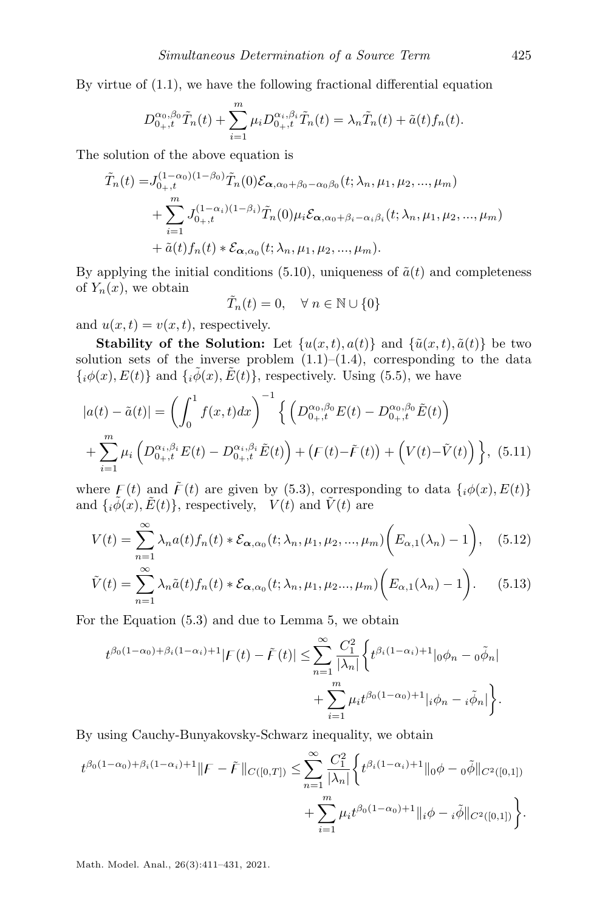By virtue of [\(1.1\)](#page-1-1), we have the following fractional differential equation

$$
D_{0_+,t}^{\alpha_0,\beta_0} \tilde{T}_n(t) + \sum_{i=1}^m \mu_i D_{0_+,t}^{\alpha_i,\beta_i} \tilde{T}_n(t) = \lambda_n \tilde{T}_n(t) + \tilde{a}(t) f_n(t).
$$

The solution of the above equation is

$$
\tilde{T}_n(t) = J_{0+,t}^{(1-\alpha_0)(1-\beta_0)} \tilde{T}_n(0) \mathcal{E}_{\alpha,\alpha_0+\beta_0-\alpha_0\beta_0}(t; \lambda_n, \mu_1, \mu_2, ..., \mu_m) \n+ \sum_{i=1}^m J_{0+,t}^{(1-\alpha_i)(1-\beta_i)} \tilde{T}_n(0) \mu_i \mathcal{E}_{\alpha,\alpha_0+\beta_i-\alpha_i\beta_i}(t; \lambda_n, \mu_1, \mu_2, ..., \mu_m) \n+ \tilde{a}(t) f_n(t) * \mathcal{E}_{\alpha,\alpha_0}(t; \lambda_n, \mu_1, \mu_2, ..., \mu_m).
$$

By applying the initial conditions [\(5.10\)](#page-13-0), uniqueness of  $\tilde{a}(t)$  and completeness of  $Y_n(x)$ , we obtain

<span id="page-14-2"></span><span id="page-14-1"></span><span id="page-14-0"></span>
$$
\tilde{T}_n(t) = 0, \quad \forall \ n \in \mathbb{N} \cup \{0\}
$$

and  $u(x, t) = v(x, t)$ , respectively.

Stability of the Solution: Let  $\{u(x,t), a(t)\}\$  and  $\{\tilde{u}(x,t), \tilde{a}(t)\}\$  be two solution sets of the inverse problem  $(1.1)$ – $(1.4)$ , corresponding to the data  $\{\psi(x), E(t)\}\$  and  $\{\psi(x), \tilde{E}(t)\}\$ , respectively. Using [\(5.5\)](#page-11-1), we have

$$
|a(t) - \tilde{a}(t)| = \left(\int_0^1 f(x, t)dx\right)^{-1} \left\{ \left(D_{0+}, \beta_0, \beta_0, \tilde{E}(t) - D_{0+}, \tilde{E}(t)\right) + \sum_{i=1}^m \mu_i \left(D_{0+}, \beta_i, \tilde{E}(t) - D_{0+}, \tilde{E}(t)\right) + \left(F(t) - \tilde{F}(t)\right) + \left(V(t) - \tilde{V}(t)\right) \right\}, \tag{5.11}
$$

where  $F(t)$  and  $\tilde{F}(t)$  are given by [\(5.3\)](#page-11-2), corresponding to data  $\{i\phi(x), E(t)\}$ and  $\{\tilde{\phi}(x), \tilde{E}(t)\}\$ , respectively,  $V(t)$  and  $\tilde{V}(t)$  are

$$
V(t) = \sum_{n=1}^{\infty} \lambda_n a(t) f_n(t) * \mathcal{E}_{\alpha, \alpha_0}(t; \lambda_n, \mu_1, \mu_2, ..., \mu_m) \bigg( E_{\alpha, 1}(\lambda_n) - 1 \bigg), \quad (5.12)
$$

$$
\tilde{V}(t) = \sum_{n=1}^{\infty} \lambda_n \tilde{a}(t) f_n(t) * \mathcal{E}_{\alpha,\alpha_0}(t; \lambda_n, \mu_1, \mu_2, \ldots, \mu_m) \bigg( E_{\alpha,1}(\lambda_n) - 1 \bigg). \tag{5.13}
$$

For the Equation [\(5.3\)](#page-11-2) and due to Lemma [5,](#page-6-1) we obtain

$$
t^{\beta_0(1-\alpha_0)+\beta_i(1-\alpha_i)+1} |F(t)-\tilde{F}(t)| \leq \sum_{n=1}^{\infty} \frac{C_1^2}{|\lambda_n|} \left\{ t^{\beta_i(1-\alpha_i)+1} |\phi_n - \phi_n|^2 + \sum_{i=1}^m \mu_i t^{\beta_0(1-\alpha_0)+1} |\phi_n - \phi_n|^2 \right\}.
$$

By using Cauchy-Bunyakovsky-Schwarz inequality, we obtain

$$
t^{\beta_0(1-\alpha_0)+\beta_i(1-\alpha_i)+1} \|F-\tilde{F}\|_{C([0,T])} \leq \sum_{n=1}^{\infty} \frac{C_1^2}{|\lambda_n|} \left\{ t^{\beta_i(1-\alpha_i)+1} \|0\phi-\tilde{\phi}\|_{C^2([0,1])} + \sum_{i=1}^m \mu_i t^{\beta_0(1-\alpha_0)+1} \|i\phi-i\tilde{\phi}\|_{C^2([0,1])} \right\}.
$$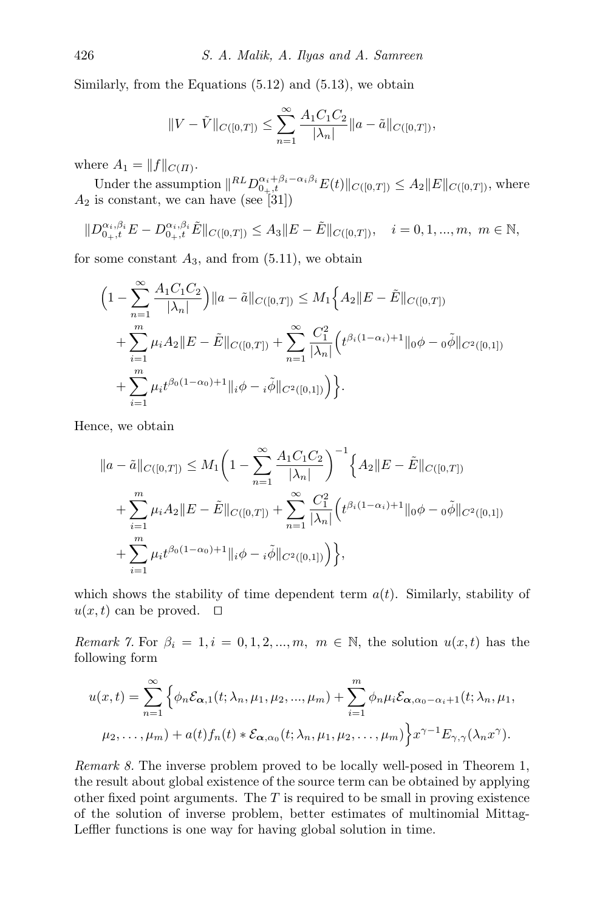Similarly, from the Equations  $(5.12)$  and  $(5.13)$ , we obtain

$$
||V - \tilde{V}||_{C([0,T])} \le \sum_{n=1}^{\infty} \frac{A_1 C_1 C_2}{|\lambda_n|} ||a - \tilde{a}||_{C([0,T])},
$$

where  $A_1 = ||f||_{C(H)}$ .

Under the assumption  $||^{RL} D_{0_+,t}^{\alpha_i+\beta_i-\alpha_i\beta_i} E(t)||_{C([0,T])} \leq A_2 ||E||_{C([0,T])}$ , where  $A_2$  is constant, we can have (see [\[31\]](#page-20-10))

$$
||D_{0_+,t}^{\alpha_i,\beta_i}E - D_{0_+,t}^{\alpha_i,\beta_i}\tilde{E}||_{C([0,T])} \le A_3||E - \tilde{E}||_{C([0,T])}, \quad i = 0, 1, ..., m, \ m \in \mathbb{N},
$$

for some constant  $A_3$ , and from  $(5.11)$ , we obtain

$$
\left(1 - \sum_{n=1}^{\infty} \frac{A_1 C_1 C_2}{|\lambda_n|}\right) ||a - \tilde{a}||_{C([0,T])} \le M_1 \Big\{A_2 ||E - \tilde{E}||_{C([0,T])} \n+ \sum_{i=1}^{m} \mu_i A_2 ||E - \tilde{E}||_{C([0,T])} + \sum_{n=1}^{\infty} \frac{C_1^2}{|\lambda_n|} \Big(t^{\beta_i(1-\alpha_i)+1} ||_0 \phi - 0 \tilde{\phi}||_{C^2([0,1])} \n+ \sum_{i=1}^{m} \mu_i t^{\beta_0(1-\alpha_0)+1} ||_i \phi - i \tilde{\phi}||_{C^2([0,1])} \Big\}.
$$

Hence, we obtain

$$
||a - \tilde{a}||_{C([0,T])} \le M_1 \left(1 - \sum_{n=1}^{\infty} \frac{A_1 C_1 C_2}{|\lambda_n|}\right)^{-1} \left\{A_2 ||E - \tilde{E}||_{C([0,T])}\right\}
$$
  
+ 
$$
\sum_{i=1}^{m} \mu_i A_2 ||E - \tilde{E}||_{C([0,T])} + \sum_{n=1}^{\infty} \frac{C_1^2}{|\lambda_n|} \left(t^{\beta_i(1-\alpha_i)+1}||_0\phi - \omega\tilde{\phi}||_{C^2([0,1])}\right)
$$
  
+ 
$$
\sum_{i=1}^{m} \mu_i t^{\beta_0(1-\alpha_0)+1} ||_i\phi - i\tilde{\phi}||_{C^2([0,1])}\right\},
$$

which shows the stability of time dependent term  $a(t)$ . Similarly, stability of  $u(x, t)$  can be proved.  $\square$ 

Remark 7. For  $\beta_i = 1, i = 0, 1, 2, ..., m, m \in \mathbb{N}$ , the solution  $u(x, t)$  has the following form

$$
u(x,t) = \sum_{n=1}^{\infty} \left\{ \phi_n \mathcal{E}_{\alpha,1}(t; \lambda_n, \mu_1, \mu_2, ..., \mu_m) + \sum_{i=1}^m \phi_n \mu_i \mathcal{E}_{\alpha,\alpha_0 - \alpha_i + 1}(t; \lambda_n, \mu_1, \mu_2, ..., \mu_m) + a(t) f_n(t) * \mathcal{E}_{\alpha,\alpha_0}(t; \lambda_n, \mu_1, \mu_2, ..., \mu_m) \right\} x^{\gamma - 1} E_{\gamma,\gamma}(\lambda_n x^{\gamma}).
$$

Remark 8. The inverse problem proved to be locally well-posed in Theorem [1,](#page-9-0) the result about global existence of the source term can be obtained by applying other fixed point arguments. The  $T$  is required to be small in proving existence of the solution of inverse problem, better estimates of multinomial Mittag-Leffler functions is one way for having global solution in time.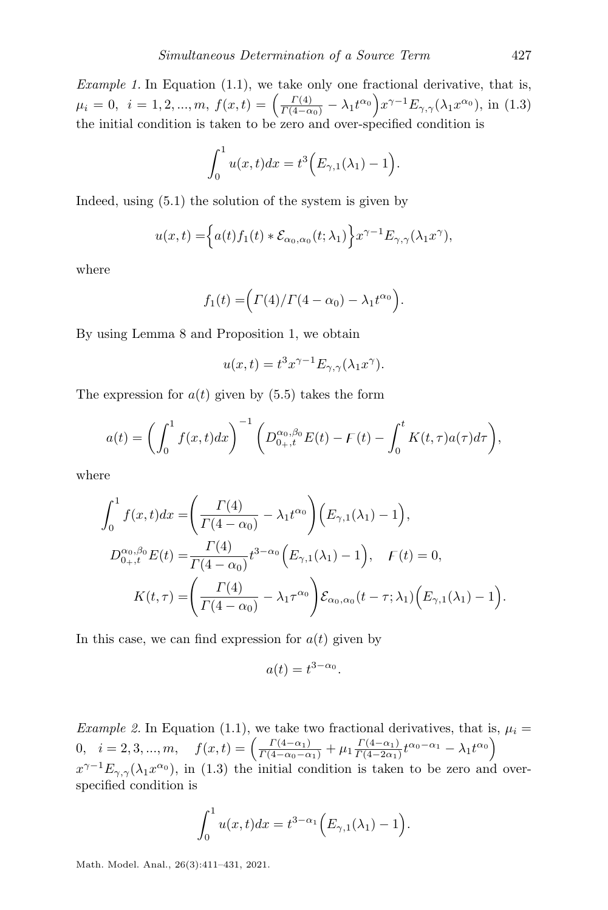*Example 1.* In Equation  $(1.1)$ , we take only one fractional derivative, that is,  $\mu_i = 0, i = 1, 2, ..., m, f(x, t) = \left(\frac{\Gamma(4)}{\Gamma(4-\alpha_0)} - \lambda_1 t^{\alpha_0}\right) x^{\gamma-1} E_{\gamma, \gamma}(\lambda_1 x^{\alpha_0}),$  in [\(1.3\)](#page-1-0) the initial condition is taken to be zero and over-specified condition is

$$
\int_0^1 u(x,t)dx = t^3 \Big( E_{\gamma,1}(\lambda_1) - 1 \Big).
$$

Indeed, using [\(5.1\)](#page-10-0) the solution of the system is given by

$$
u(x,t) = \left\{ a(t)f_1(t) * \mathcal{E}_{\alpha_0,\alpha_0}(t;\lambda_1) \right\} x^{\gamma-1} E_{\gamma,\gamma}(\lambda_1 x^{\gamma}),
$$

where

$$
f_1(t) = \Big( \Gamma(4) / \Gamma(4 - \alpha_0) - \lambda_1 t^{\alpha_0} \Big).
$$

By using Lemma [8](#page-7-2) and Proposition [1,](#page-7-3) we obtain

$$
u(x,t) = t^3 x^{\gamma - 1} E_{\gamma, \gamma}(\lambda_1 x^{\gamma}).
$$

The expression for  $a(t)$  given by [\(5.5\)](#page-11-1) takes the form

$$
a(t) = \left(\int_0^1 f(x, t) dx\right)^{-1} \left(D_{0+,t}^{\alpha_0, \beta_0} E(t) - F(t) - \int_0^t K(t, \tau) a(\tau) d\tau\right),
$$

where

$$
\int_0^1 f(x,t)dx = \left(\frac{\Gamma(4)}{\Gamma(4-\alpha_0)} - \lambda_1 t^{\alpha_0}\right) \left(E_{\gamma,1}(\lambda_1) - 1\right),
$$
  
\n
$$
D_{0+,t}^{\alpha_0,\beta_0} E(t) = \frac{\Gamma(4)}{\Gamma(4-\alpha_0)} t^{3-\alpha_0} \left(E_{\gamma,1}(\lambda_1) - 1\right), \quad F(t) = 0,
$$
  
\n
$$
K(t,\tau) = \left(\frac{\Gamma(4)}{\Gamma(4-\alpha_0)} - \lambda_1 \tau^{\alpha_0}\right) \mathcal{E}_{\alpha_0,\alpha_0}(t-\tau;\lambda_1) \left(E_{\gamma,1}(\lambda_1) - 1\right).
$$

In this case, we can find expression for  $a(t)$  given by

$$
a(t) = t^{3-\alpha_0}.
$$

Example 2. In Equation [\(1.1\)](#page-1-1), we take two fractional derivatives, that is,  $\mu_i =$ 0,  $i = 2, 3, ..., m$ ,  $f(x, t) = \left(\frac{\Gamma(4-\alpha_1)}{\Gamma(4-\alpha_0-\alpha_1)} + \mu_1 \frac{\Gamma(4-\alpha_1)}{\Gamma(4-2\alpha_1)}\right)$  $\frac{\Gamma(4-\alpha_1)}{\Gamma(4-2\alpha_1)}t^{\alpha_0-\alpha_1}-\lambda_1t^{\alpha_0}\Big)$  $x^{\gamma-1}E_{\gamma,\gamma}(\lambda_1 x^{\alpha_0})$ , in [\(1.3\)](#page-1-0) the initial condition is taken to be zero and overspecified condition is

$$
\int_0^1 u(x,t)dx = t^{3-\alpha_1} \Big( E_{\gamma,1}(\lambda_1) - 1 \Big).
$$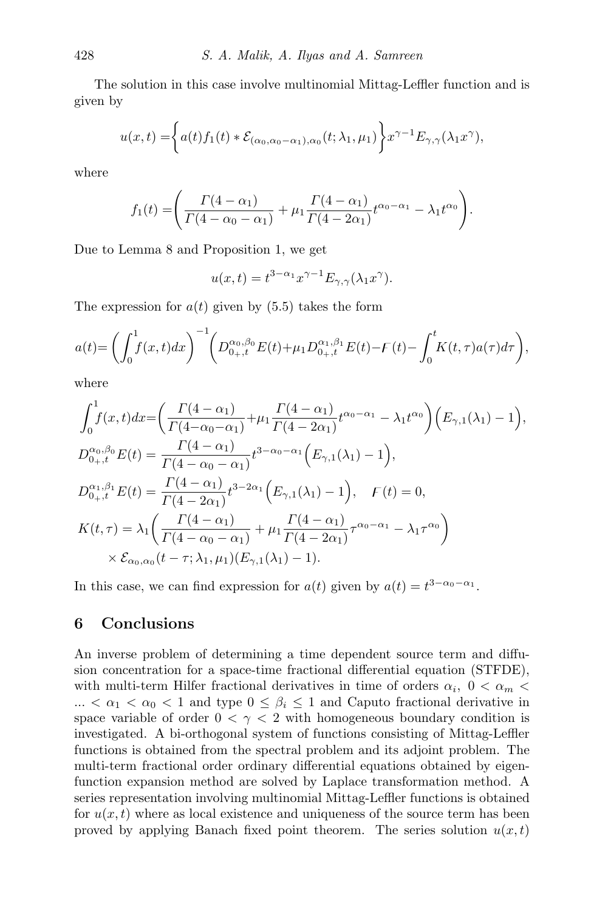The solution in this case involve multinomial Mittag-Leffler function and is given by

$$
u(x,t) = \left\{ a(t)f_1(t) * \mathcal{E}_{(\alpha_0,\alpha_0-\alpha_1),\alpha_0}(t;\lambda_1,\mu_1) \right\} x^{\gamma-1} E_{\gamma,\gamma}(\lambda_1 x^{\gamma}),
$$

where

$$
f_1(t) = \left(\frac{\Gamma(4-\alpha_1)}{\Gamma(4-\alpha_0-\alpha_1)} + \mu_1 \frac{\Gamma(4-\alpha_1)}{\Gamma(4-2\alpha_1)} t^{\alpha_0-\alpha_1} - \lambda_1 t^{\alpha_0}\right).
$$

Due to Lemma [8](#page-7-2) and Proposition [1,](#page-7-3) we get

$$
u(x,t) = t^{3-\alpha_1} x^{\gamma - 1} E_{\gamma,\gamma}(\lambda_1 x^{\gamma}).
$$

The expression for  $a(t)$  given by [\(5.5\)](#page-11-1) takes the form

$$
a(t) = \left(\int_0^1 f(x,t)dx\right)^{-1} \left(D_{0_+,t}^{\alpha_0,\beta_0}E(t) + \mu_1 D_{0_+,t}^{\alpha_1,\beta_1}E(t) - F(t) - \int_0^t K(t,\tau)a(\tau)d\tau\right),
$$

where

$$
\int_{0}^{1} f(x,t)dx = \left(\frac{\Gamma(4-\alpha_{1})}{\Gamma(4-\alpha_{0}-\alpha_{1})} + \mu_{1} \frac{\Gamma(4-\alpha_{1})}{\Gamma(4-2\alpha_{1})} t^{\alpha_{0}-\alpha_{1}} - \lambda_{1} t^{\alpha_{0}}\right) \left(E_{\gamma,1}(\lambda_{1}) - 1\right),
$$
  
\n
$$
D_{0,+t}^{\alpha_{0},\beta_{0}} E(t) = \frac{\Gamma(4-\alpha_{1})}{\Gamma(4-\alpha_{0}-\alpha_{1})} t^{3-\alpha_{0}-\alpha_{1}} \left(E_{\gamma,1}(\lambda_{1}) - 1\right),
$$
  
\n
$$
D_{0,+t}^{\alpha_{1},\beta_{1}} E(t) = \frac{\Gamma(4-\alpha_{1})}{\Gamma(4-2\alpha_{1})} t^{3-2\alpha_{1}} \left(E_{\gamma,1}(\lambda_{1}) - 1\right), \quad F(t) = 0,
$$
  
\n
$$
K(t,\tau) = \lambda_{1} \left(\frac{\Gamma(4-\alpha_{1})}{\Gamma(4-\alpha_{0}-\alpha_{1})} + \mu_{1} \frac{\Gamma(4-\alpha_{1})}{\Gamma(4-2\alpha_{1})} \tau^{\alpha_{0}-\alpha_{1}} - \lambda_{1} \tau^{\alpha_{0}}\right)
$$
  
\n
$$
\times \mathcal{E}_{\alpha_{0},\alpha_{0}}(t-\tau;\lambda_{1},\mu_{1}) \left(E_{\gamma,1}(\lambda_{1}) - 1\right).
$$

In this case, we can find expression for  $a(t)$  given by  $a(t) = t^{3-\alpha_0-\alpha_1}$ .

#### 6 Conclusions

An inverse problem of determining a time dependent source term and diffusion concentration for a space-time fractional differential equation (STFDE), with multi-term Hilfer fractional derivatives in time of orders  $\alpha_i$ ,  $0 < \alpha_m$ ...  $\langle \alpha_1 \rangle \langle \alpha_0 \rangle \langle 1 \rangle$  and type  $0 \leq \beta_i \leq 1$  and Caputo fractional derivative in space variable of order  $0 < \gamma < 2$  with homogeneous boundary condition is investigated. A bi-orthogonal system of functions consisting of Mittag-Leffler functions is obtained from the spectral problem and its adjoint problem. The multi-term fractional order ordinary differential equations obtained by eigenfunction expansion method are solved by Laplace transformation method. A series representation involving multinomial Mittag-Leffler functions is obtained for  $u(x, t)$  where as local existence and uniqueness of the source term has been proved by applying Banach fixed point theorem. The series solution  $u(x, t)$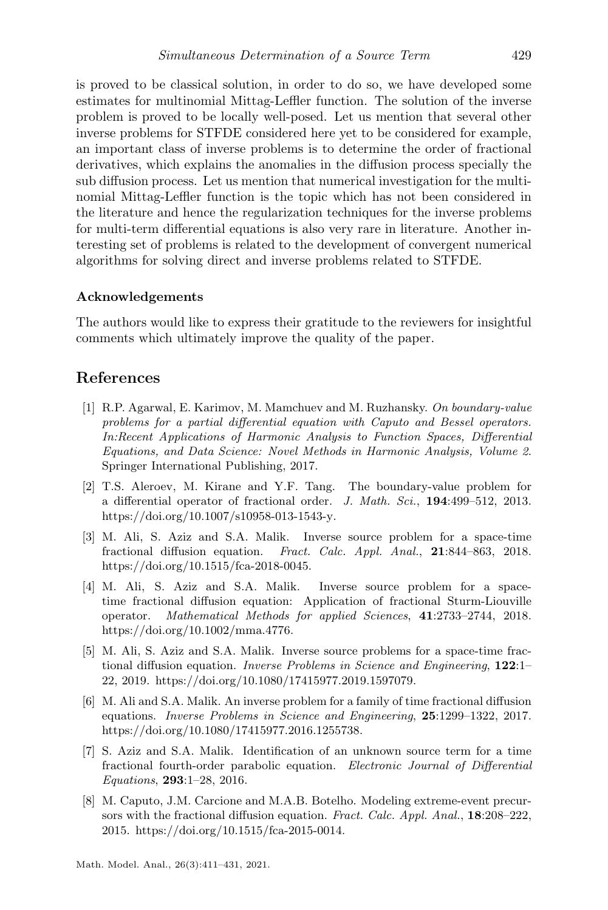is proved to be classical solution, in order to do so, we have developed some estimates for multinomial Mittag-Leffler function. The solution of the inverse problem is proved to be locally well-posed. Let us mention that several other inverse problems for STFDE considered here yet to be considered for example, an important class of inverse problems is to determine the order of fractional derivatives, which explains the anomalies in the diffusion process specially the sub diffusion process. Let us mention that numerical investigation for the multinomial Mittag-Leffler function is the topic which has not been considered in the literature and hence the regularization techniques for the inverse problems for multi-term differential equations is also very rare in literature. Another interesting set of problems is related to the development of convergent numerical algorithms for solving direct and inverse problems related to STFDE.

#### Acknowledgements

The authors would like to express their gratitude to the reviewers for insightful comments which ultimately improve the quality of the paper.

## References

- <span id="page-18-6"></span>[1] R.P. Agarwal, E. Karimov, M. Mamchuev and M. Ruzhansky. On boundary-value problems for a partial differential equation with Caputo and Bessel operators. In:Recent Applications of Harmonic Analysis to Function Spaces, Differential Equations, and Data Science: Novel Methods in Harmonic Analysis, Volume 2. Springer International Publishing, 2017.
- <span id="page-18-7"></span>[2] T.S. Aleroev, M. Kirane and Y.F. Tang. The boundary-value problem for a differential operator of fractional order. J. Math. Sci., 194:499–512, 2013. [https://doi.org/10.1007/s10958-013-1543-y.](https://doi.org/10.1007/s10958-013-1543-y)
- <span id="page-18-4"></span>[3] M. Ali, S. Aziz and S.A. Malik. Inverse source problem for a space-time fractional diffusion equation. Fract. Calc. Appl. Anal., 21:844–863, 2018. [https://doi.org/10.1515/fca-2018-0045.](https://doi.org/10.1515/fca-2018-0045)
- <span id="page-18-3"></span>[4] M. Ali, S. Aziz and S.A. Malik. Inverse source problem for a spacetime fractional diffusion equation: Application of fractional Sturm-Liouville operator. Mathematical Methods for applied Sciences, 41:2733–2744, 2018. [https://doi.org/10.1002/mma.4776.](https://doi.org/10.1002/mma.4776)
- <span id="page-18-5"></span>[5] M. Ali, S. Aziz and S.A. Malik. Inverse source problems for a space-time fractional diffusion equation. Inverse Problems in Science and Engineering, 122:1-22, 2019. [https://doi.org/10.1080/17415977.2019.1597079.](https://doi.org/10.1080/17415977.2019.1597079)
- <span id="page-18-1"></span>[6] M. Ali and S.A. Malik. An inverse problem for a family of time fractional diffusion equations. Inverse Problems in Science and Engineering, 25:1299–1322, 2017. [https://doi.org/10.1080/17415977.2016.1255738.](https://doi.org/10.1080/17415977.2016.1255738)
- <span id="page-18-2"></span>[7] S. Aziz and S.A. Malik. Identification of an unknown source term for a time fractional fourth-order parabolic equation. Electronic Journal of Differential Equations, 293:1–28, 2016.
- <span id="page-18-0"></span>[8] M. Caputo, J.M. Carcione and M.A.B. Botelho. Modeling extreme-event precursors with the fractional diffusion equation. Fract. Calc. Appl. Anal., 18:208–222, 2015. [https://doi.org/10.1515/fca-2015-0014.](https://doi.org/10.1515/fca-2015-0014)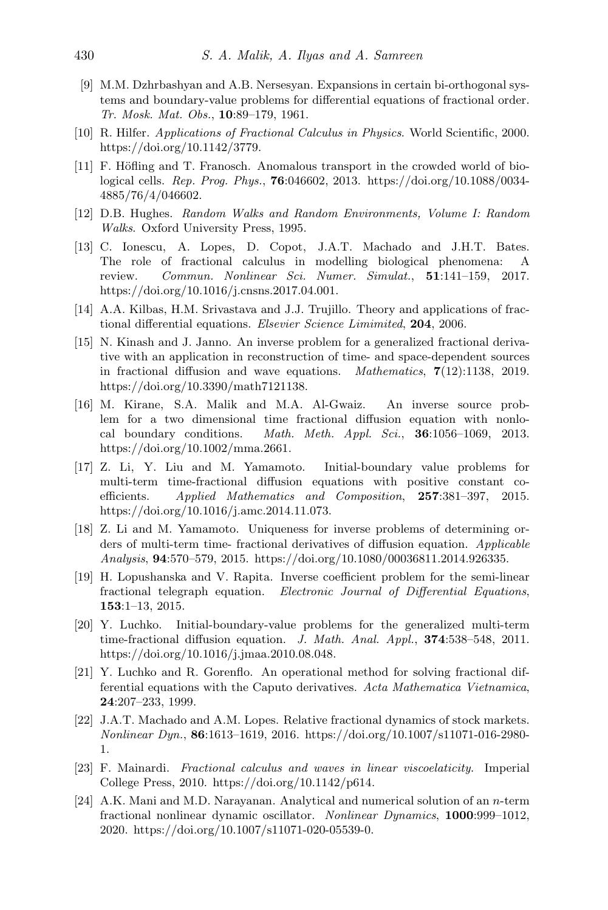- <span id="page-19-15"></span>[9] M.M. Dzhrbashyan and A.B. Nersesyan. Expansions in certain bi-orthogonal systems and boundary-value problems for differential equations of fractional order. Tr. Mosk. Mat. Obs., 10:89–179, 1961.
- <span id="page-19-4"></span>[10] R. Hilfer. Applications of Fractional Calculus in Physics. World Scientific, 2000. [https://doi.org/10.1142/3779.](https://doi.org/10.1142/3779)
- <span id="page-19-1"></span>[11] F. Höfling and T. Franosch. Anomalous transport in the crowded world of biological cells. Rep. Prog. Phys., 76:046602, 2013. [https://doi.org/10.1088/0034-](https://doi.org/10.1088/0034-4885/76/4/046602) [4885/76/4/046602.](https://doi.org/10.1088/0034-4885/76/4/046602)
- <span id="page-19-0"></span>[12] D.B. Hughes. Random Walks and Random Environments, Volume I: Random Walks. Oxford University Press, 1995.
- <span id="page-19-2"></span>[13] C. Ionescu, A. Lopes, D. Copot, J.A.T. Machado and J.H.T. Bates. The role of fractional calculus in modelling biological phenomena: A review. Commun. Nonlinear Sci. Numer. Simulat., 51:141–159, 2017. [https://doi.org/10.1016/j.cnsns.2017.04.001.](https://doi.org/10.1016/j.cnsns.2017.04.001)
- <span id="page-19-12"></span>[14] A.A. Kilbas, H.M. Srivastava and J.J. Trujillo. Theory and applications of fractional differential equations. Elsevier Science Limimited, 204, 2006.
- <span id="page-19-10"></span>[15] N. Kinash and J. Janno. An inverse problem for a generalized fractional derivative with an application in reconstruction of time- and space-dependent sources in fractional diffusion and wave equations. Mathematics, 7(12):1138, 2019. [https://doi.org/10.3390/math7121138.](https://doi.org/10.3390/math7121138)
- <span id="page-19-8"></span>[16] M. Kirane, S.A. Malik and M.A. Al-Gwaiz. An inverse source problem for a two dimensional time fractional diffusion equation with nonlocal boundary conditions. Math. Meth. Appl. Sci., 36:1056–1069, 2013. [https://doi.org/10.1002/mma.2661.](https://doi.org/10.1002/mma.2661)
- <span id="page-19-14"></span>[17] Z. Li, Y. Liu and M. Yamamoto. Initial-boundary value problems for multi-term time-fractional diffusion equations with positive constant coefficients. Applied Mathematics and Composition, 257:381–397, 2015. [https://doi.org/10.1016/j.amc.2014.11.073.](https://doi.org/10.1016/j.amc.2014.11.073)
- <span id="page-19-11"></span>[18] Z. Li and M. Yamamoto. Uniqueness for inverse problems of determining orders of multi-term time- fractional derivatives of diffusion equation. Applicable Analysis, 94:570–579, 2015. [https://doi.org/10.1080/00036811.2014.926335.](https://doi.org/10.1080/00036811.2014.926335)
- <span id="page-19-9"></span>[19] H. Lopushanska and V. Rapita. Inverse coefficient problem for the semi-linear fractional telegraph equation. Electronic Journal of Differential Equations, 153:1–13, 2015.
- <span id="page-19-6"></span>[20] Y. Luchko. Initial-boundary-value problems for the generalized multi-term time-fractional diffusion equation. J. Math. Anal. Appl., 374:538–548, 2011. [https://doi.org/10.1016/j.jmaa.2010.08.048.](https://doi.org/10.1016/j.jmaa.2010.08.048)
- <span id="page-19-13"></span>[21] Y. Luchko and R. Gorenflo. An operational method for solving fractional differential equations with the Caputo derivatives. Acta Mathematica Vietnamica, 24:207–233, 1999.
- <span id="page-19-3"></span>[22] J.A.T. Machado and A.M. Lopes. Relative fractional dynamics of stock markets. Nonlinear Dyn., 86:1613–1619, 2016. [https://doi.org/10.1007/s11071-016-2980-](https://doi.org/10.1007/s11071-016-2980-1) [1.](https://doi.org/10.1007/s11071-016-2980-1)
- <span id="page-19-5"></span>[23] F. Mainardi. Fractional calculus and waves in linear viscoelaticity. Imperial College Press, 2010. [https://doi.org/10.1142/p614.](https://doi.org/10.1142/p614)
- <span id="page-19-7"></span>[24] A.K. Mani and M.D. Narayanan. Analytical and numerical solution of an n-term fractional nonlinear dynamic oscillator. Nonlinear Dynamics, 1000:999–1012, 2020. [https://doi.org/10.1007/s11071-020-05539-0.](https://doi.org/10.1007/s11071-020-05539-0)